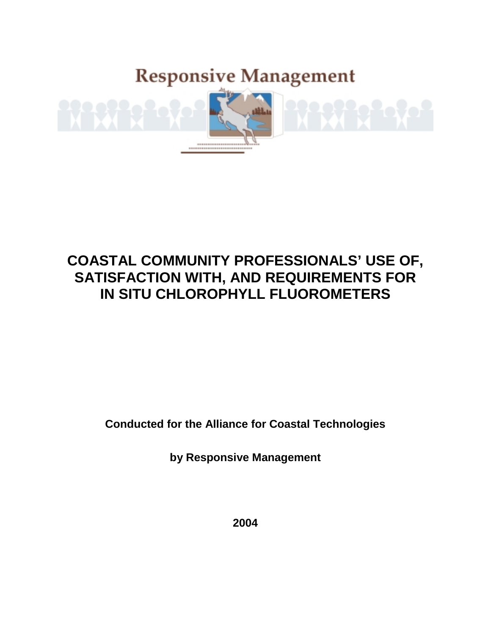**Responsive Management** 



# **COASTAL COMMUNITY PROFESSIONALS' USE OF, SATISFACTION WITH, AND REQUIREMENTS FOR IN SITU CHLOROPHYLL FLUOROMETERS**

**Conducted for the Alliance for Coastal Technologies** 

**by Responsive Management** 

**2004**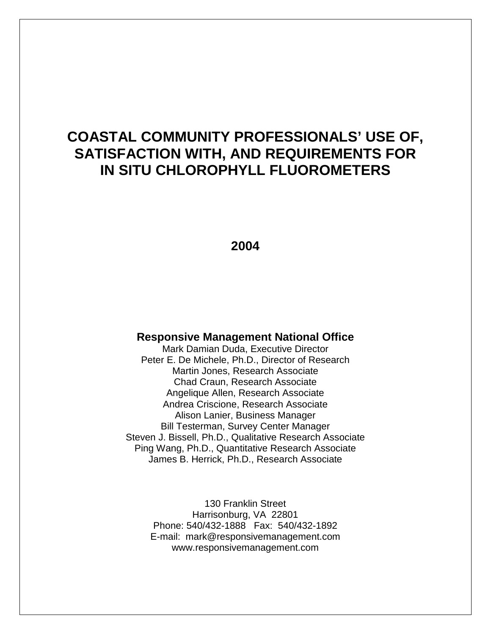## **COASTAL COMMUNITY PROFESSIONALS' USE OF, SATISFACTION WITH, AND REQUIREMENTS FOR IN SITU CHLOROPHYLL FLUOROMETERS**

#### **2004**

#### **Responsive Management National Office**

Mark Damian Duda, Executive Director Peter E. De Michele, Ph.D., Director of Research Martin Jones, Research Associate Chad Craun, Research Associate Angelique Allen, Research Associate Andrea Criscione, Research Associate Alison Lanier, Business Manager Bill Testerman, Survey Center Manager Steven J. Bissell, Ph.D., Qualitative Research Associate Ping Wang, Ph.D., Quantitative Research Associate James B. Herrick, Ph.D., Research Associate

130 Franklin Street Harrisonburg, VA 22801 Phone: 540/432-1888 Fax: 540/432-1892 E-mail: mark@responsivemanagement.com www.responsivemanagement.com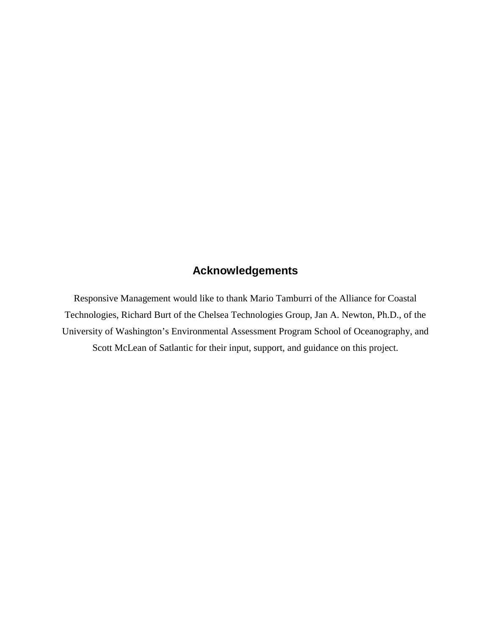## **Acknowledgements**

Responsive Management would like to thank Mario Tamburri of the Alliance for Coastal Technologies, Richard Burt of the Chelsea Technologies Group, Jan A. Newton, Ph.D., of the University of Washington's Environmental Assessment Program School of Oceanography, and Scott McLean of Satlantic for their input, support, and guidance on this project.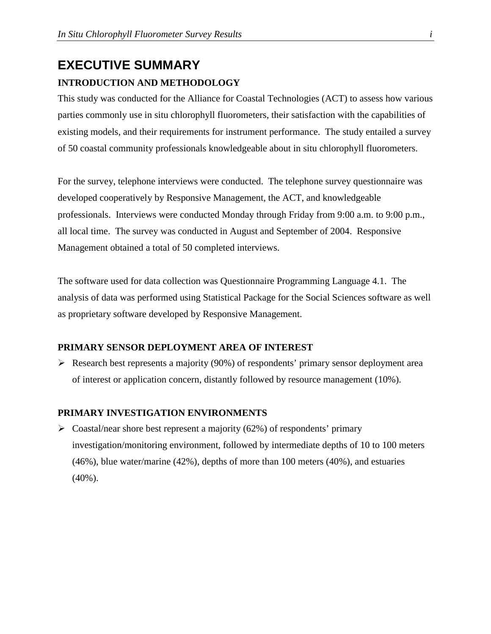# **EXECUTIVE SUMMARY**

#### **INTRODUCTION AND METHODOLOGY**

This study was conducted for the Alliance for Coastal Technologies (ACT) to assess how various parties commonly use in situ chlorophyll fluorometers, their satisfaction with the capabilities of existing models, and their requirements for instrument performance. The study entailed a survey of 50 coastal community professionals knowledgeable about in situ chlorophyll fluorometers.

For the survey, telephone interviews were conducted. The telephone survey questionnaire was developed cooperatively by Responsive Management, the ACT, and knowledgeable professionals. Interviews were conducted Monday through Friday from 9:00 a.m. to 9:00 p.m., all local time. The survey was conducted in August and September of 2004. Responsive Management obtained a total of 50 completed interviews.

The software used for data collection was Questionnaire Programming Language 4.1. The analysis of data was performed using Statistical Package for the Social Sciences software as well as proprietary software developed by Responsive Management.

#### **PRIMARY SENSOR DEPLOYMENT AREA OF INTEREST**

 $\triangleright$  Research best represents a majority (90%) of respondents' primary sensor deployment area of interest or application concern, distantly followed by resource management (10%).

#### **PRIMARY INVESTIGATION ENVIRONMENTS**

 $\triangleright$  Coastal/near shore best represent a majority (62%) of respondents' primary investigation/monitoring environment, followed by intermediate depths of 10 to 100 meters (46%), blue water/marine (42%), depths of more than 100 meters (40%), and estuaries (40%).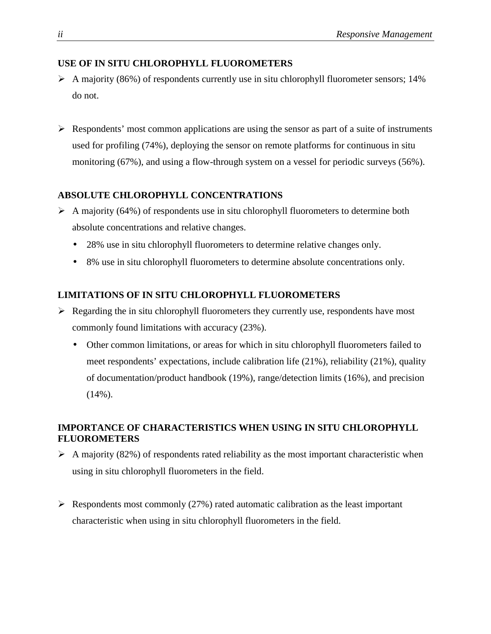#### **USE OF IN SITU CHLOROPHYLL FLUOROMETERS**

- $\triangleright$  A majority (86%) of respondents currently use in situ chlorophyll fluorometer sensors; 14% do not.
- $\triangleright$  Respondents' most common applications are using the sensor as part of a suite of instruments used for profiling (74%), deploying the sensor on remote platforms for continuous in situ monitoring (67%), and using a flow-through system on a vessel for periodic surveys (56%).

#### **ABSOLUTE CHLOROPHYLL CONCENTRATIONS**

- $\triangleright$  A majority (64%) of respondents use in situ chlorophyll fluorometers to determine both absolute concentrations and relative changes.
	- 28% use in situ chlorophyll fluorometers to determine relative changes only.
	- 8% use in situ chlorophyll fluorometers to determine absolute concentrations only.

#### **LIMITATIONS OF IN SITU CHLOROPHYLL FLUOROMETERS**

- $\triangleright$  Regarding the in situ chlorophyll fluorometers they currently use, respondents have most commonly found limitations with accuracy (23%).
	- Other common limitations, or areas for which in situ chlorophyll fluorometers failed to meet respondents' expectations, include calibration life (21%), reliability (21%), quality of documentation/product handbook (19%), range/detection limits (16%), and precision  $(14\%)$ .

#### **IMPORTANCE OF CHARACTERISTICS WHEN USING IN SITU CHLOROPHYLL FLUOROMETERS**

- $\triangleright$  A majority (82%) of respondents rated reliability as the most important characteristic when using in situ chlorophyll fluorometers in the field.
- $\triangleright$  Respondents most commonly (27%) rated automatic calibration as the least important characteristic when using in situ chlorophyll fluorometers in the field.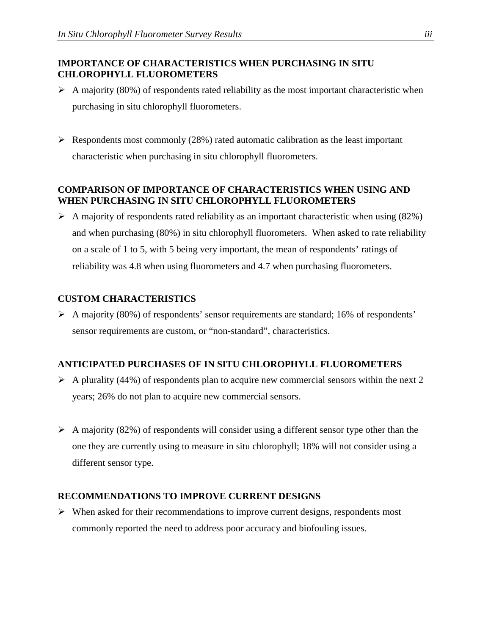#### **IMPORTANCE OF CHARACTERISTICS WHEN PURCHASING IN SITU CHLOROPHYLL FLUOROMETERS**

- $\triangleright$  A majority (80%) of respondents rated reliability as the most important characteristic when purchasing in situ chlorophyll fluorometers.
- Respondents most commonly (28%) rated automatic calibration as the least important characteristic when purchasing in situ chlorophyll fluorometers.

#### **COMPARISON OF IMPORTANCE OF CHARACTERISTICS WHEN USING AND WHEN PURCHASING IN SITU CHLOROPHYLL FLUOROMETERS**

 $\triangleright$  A majority of respondents rated reliability as an important characteristic when using (82%) and when purchasing (80%) in situ chlorophyll fluorometers. When asked to rate reliability on a scale of 1 to 5, with 5 being very important, the mean of respondents' ratings of reliability was 4.8 when using fluorometers and 4.7 when purchasing fluorometers.

#### **CUSTOM CHARACTERISTICS**

 $\triangleright$  A majority (80%) of respondents' sensor requirements are standard; 16% of respondents' sensor requirements are custom, or "non-standard", characteristics.

#### **ANTICIPATED PURCHASES OF IN SITU CHLOROPHYLL FLUOROMETERS**

- $\triangleright$  A plurality (44%) of respondents plan to acquire new commercial sensors within the next 2 years; 26% do not plan to acquire new commercial sensors.
- A majority (82%) of respondents will consider using a different sensor type other than the one they are currently using to measure in situ chlorophyll; 18% will not consider using a different sensor type.

#### **RECOMMENDATIONS TO IMPROVE CURRENT DESIGNS**

 $\triangleright$  When asked for their recommendations to improve current designs, respondents most commonly reported the need to address poor accuracy and biofouling issues.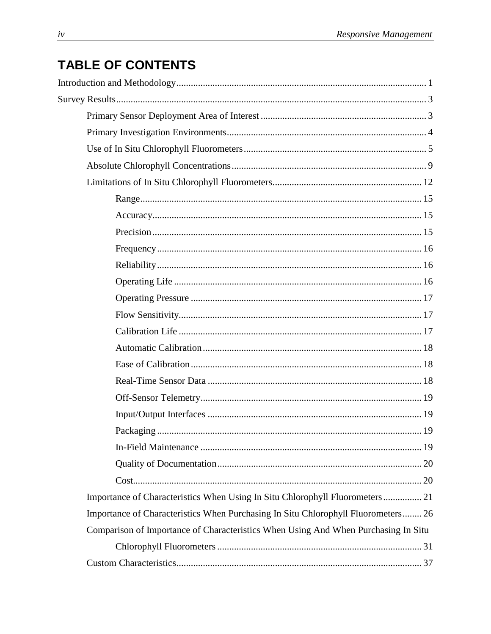## **TABLE OF CONTENTS**

| Importance of Characteristics When Using In Situ Chlorophyll Fluorometers  21      |
|------------------------------------------------------------------------------------|
| Importance of Characteristics When Purchasing In Situ Chlorophyll Fluorometers 26  |
| Comparison of Importance of Characteristics When Using And When Purchasing In Situ |
|                                                                                    |
|                                                                                    |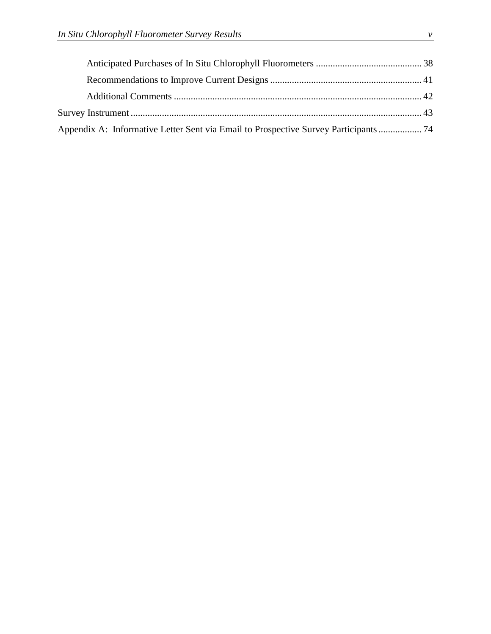| Appendix A: Informative Letter Sent via Email to Prospective Survey Participants  74 |  |
|--------------------------------------------------------------------------------------|--|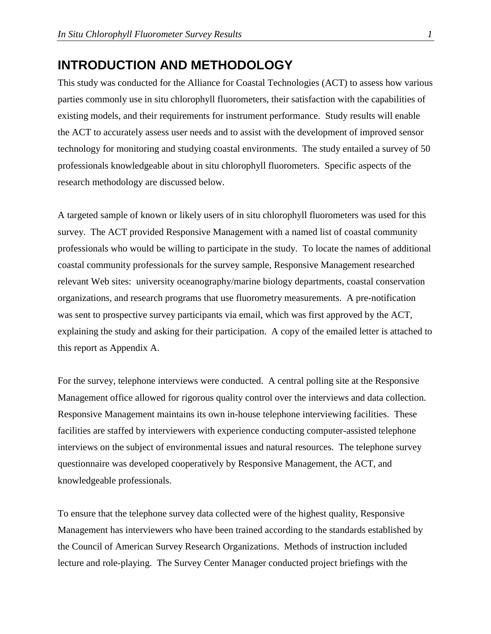## **INTRODUCTION AND METHODOLOGY**

This study was conducted for the Alliance for Coastal Technologies (ACT) to assess how various parties commonly use in situ chlorophyll fluorometers, their satisfaction with the capabilities of existing models, and their requirements for instrument performance. Study results will enable the ACT to accurately assess user needs and to assist with the development of improved sensor technology for monitoring and studying coastal environments. The study entailed a survey of 50 professionals knowledgeable about in situ chlorophyll fluorometers. Specific aspects of the research methodology are discussed below.

A targeted sample of known or likely users of in situ chlorophyll fluorometers was used for this survey. The ACT provided Responsive Management with a named list of coastal community professionals who would be willing to participate in the study. To locate the names of additional coastal community professionals for the survey sample, Responsive Management researched relevant Web sites: university oceanography/marine biology departments, coastal conservation organizations, and research programs that use fluorometry measurements. A pre-notification was sent to prospective survey participants via email, which was first approved by the ACT, explaining the study and asking for their participation. A copy of the emailed letter is attached to this report as Appendix A.

For the survey, telephone interviews were conducted. A central polling site at the Responsive Management office allowed for rigorous quality control over the interviews and data collection. Responsive Management maintains its own in-house telephone interviewing facilities. These facilities are staffed by interviewers with experience conducting computer-assisted telephone interviews on the subject of environmental issues and natural resources. The telephone survey questionnaire was developed cooperatively by Responsive Management, the ACT, and knowledgeable professionals.

To ensure that the telephone survey data collected were of the highest quality, Responsive Management has interviewers who have been trained according to the standards established by the Council of American Survey Research Organizations. Methods of instruction included lecture and role-playing. The Survey Center Manager conducted project briefings with the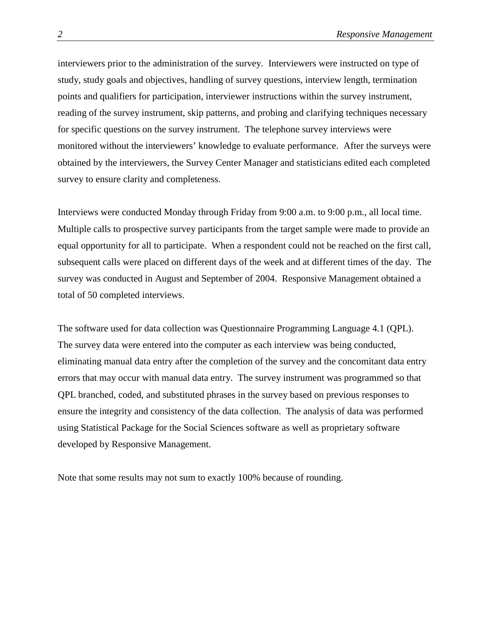interviewers prior to the administration of the survey. Interviewers were instructed on type of study, study goals and objectives, handling of survey questions, interview length, termination points and qualifiers for participation, interviewer instructions within the survey instrument, reading of the survey instrument, skip patterns, and probing and clarifying techniques necessary for specific questions on the survey instrument. The telephone survey interviews were monitored without the interviewers' knowledge to evaluate performance. After the surveys were obtained by the interviewers, the Survey Center Manager and statisticians edited each completed survey to ensure clarity and completeness.

Interviews were conducted Monday through Friday from 9:00 a.m. to 9:00 p.m., all local time. Multiple calls to prospective survey participants from the target sample were made to provide an equal opportunity for all to participate. When a respondent could not be reached on the first call, subsequent calls were placed on different days of the week and at different times of the day. The survey was conducted in August and September of 2004. Responsive Management obtained a total of 50 completed interviews.

The software used for data collection was Questionnaire Programming Language 4.1 (QPL). The survey data were entered into the computer as each interview was being conducted, eliminating manual data entry after the completion of the survey and the concomitant data entry errors that may occur with manual data entry. The survey instrument was programmed so that QPL branched, coded, and substituted phrases in the survey based on previous responses to ensure the integrity and consistency of the data collection. The analysis of data was performed using Statistical Package for the Social Sciences software as well as proprietary software developed by Responsive Management.

Note that some results may not sum to exactly 100% because of rounding.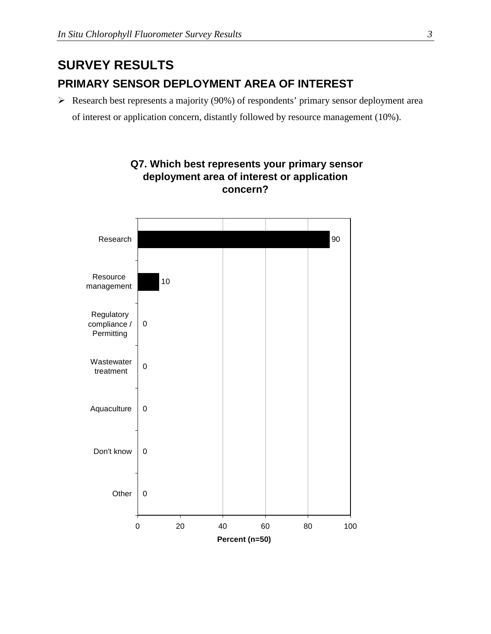## **SURVEY RESULTS PRIMARY SENSOR DEPLOYMENT AREA OF INTEREST**

 $\triangleright$  Research best represents a majority (90%) of respondents' primary sensor deployment area

 **Q7. Which best represents your primary sensor deployment area of interest or application** 

of interest or application concern, distantly followed by resource management (10%).

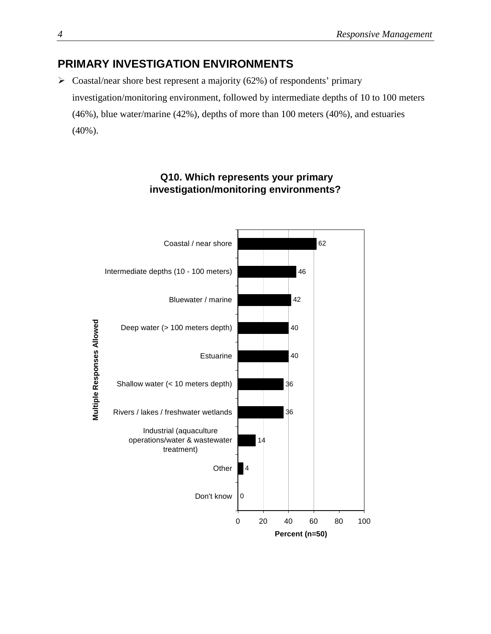## **PRIMARY INVESTIGATION ENVIRONMENTS**

 $\triangleright$  Coastal/near shore best represent a majority (62%) of respondents' primary investigation/monitoring environment, followed by intermediate depths of 10 to 100 meters (46%), blue water/marine (42%), depths of more than 100 meters (40%), and estuaries (40%).



#### **Q10. Which represents your primary investigation/monitoring environments?**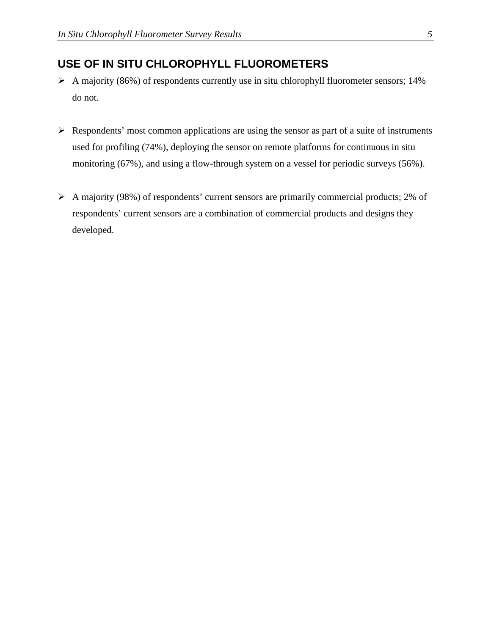### **USE OF IN SITU CHLOROPHYLL FLUOROMETERS**

- $\triangleright$  A majority (86%) of respondents currently use in situ chlorophyll fluorometer sensors; 14% do not.
- $\triangleright$  Respondents' most common applications are using the sensor as part of a suite of instruments used for profiling (74%), deploying the sensor on remote platforms for continuous in situ monitoring (67%), and using a flow-through system on a vessel for periodic surveys (56%).
- $\triangleright$  A majority (98%) of respondents' current sensors are primarily commercial products; 2% of respondents' current sensors are a combination of commercial products and designs they developed.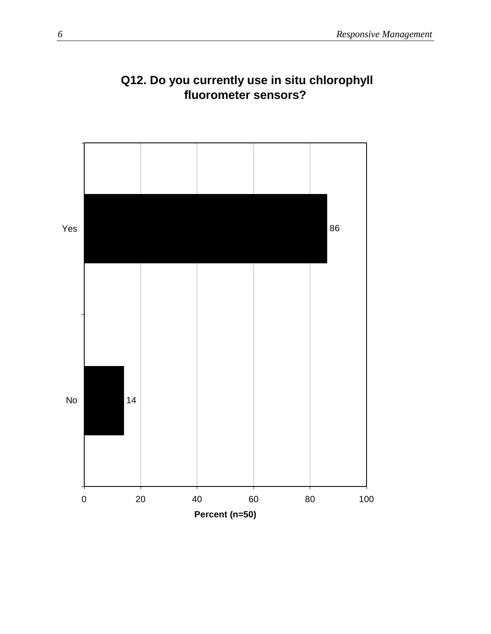

## **Q12. Do you currently use in situ chlorophyll fluorometer sensors?**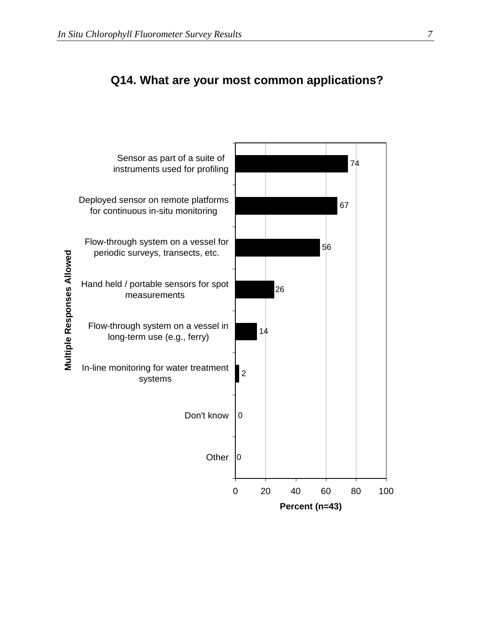

## **Q14. What are your most common applications?**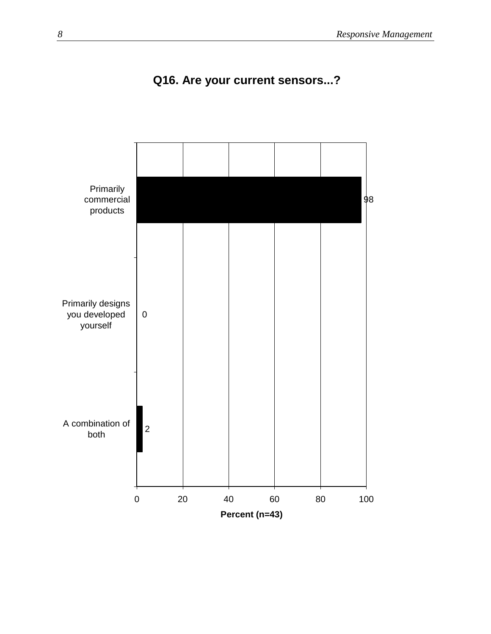

## **Q16. Are your current sensors...?**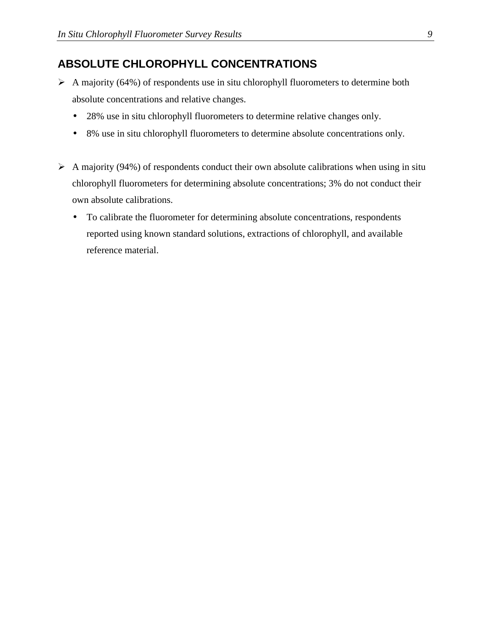## **ABSOLUTE CHLOROPHYLL CONCENTRATIONS**

- $\triangleright$  A majority (64%) of respondents use in situ chlorophyll fluorometers to determine both absolute concentrations and relative changes.
	- 28% use in situ chlorophyll fluorometers to determine relative changes only.
	- 8% use in situ chlorophyll fluorometers to determine absolute concentrations only.
- $\triangleright$  A majority (94%) of respondents conduct their own absolute calibrations when using in situ chlorophyll fluorometers for determining absolute concentrations; 3% do not conduct their own absolute calibrations.
	- To calibrate the fluorometer for determining absolute concentrations, respondents reported using known standard solutions, extractions of chlorophyll, and available reference material.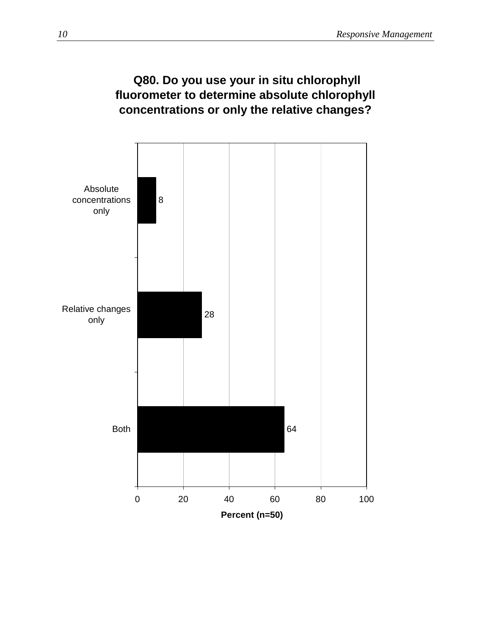## **Q80. Do you use your in situ chlorophyll fluorometer to determine absolute chlorophyll concentrations or only the relative changes?**

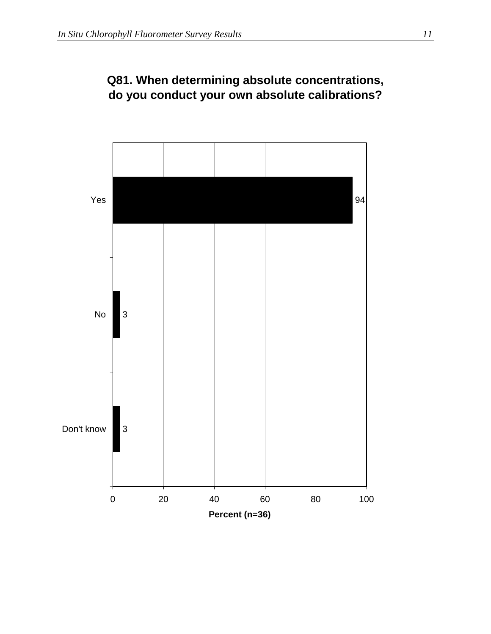

## **Q81. When determining absolute concentrations, do you conduct your own absolute calibrations?**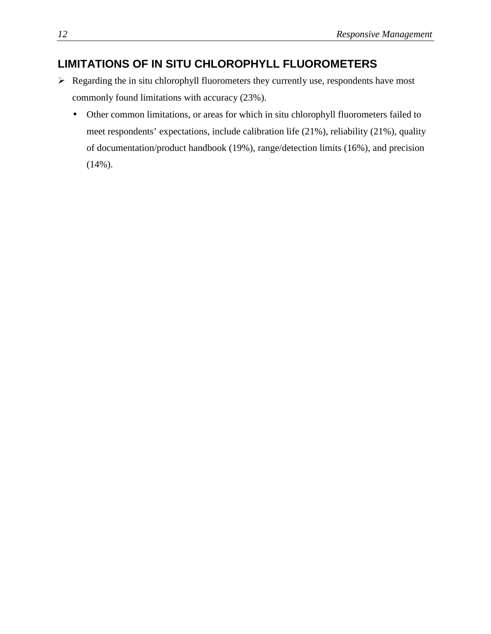## **LIMITATIONS OF IN SITU CHLOROPHYLL FLUOROMETERS**

- $\triangleright$  Regarding the in situ chlorophyll fluorometers they currently use, respondents have most commonly found limitations with accuracy (23%).
	- Other common limitations, or areas for which in situ chlorophyll fluorometers failed to meet respondents' expectations, include calibration life (21%), reliability (21%), quality of documentation/product handbook (19%), range/detection limits (16%), and precision  $(14\%)$ .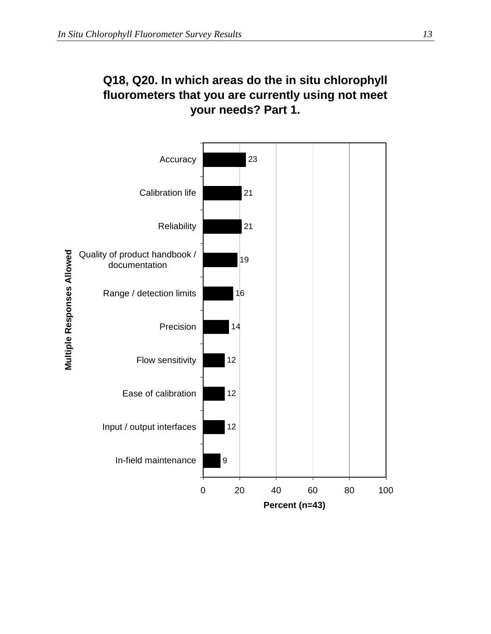## **Q18, Q20. In which areas do the in situ chlorophyll fluorometers that you are currently using not meet your needs? Part 1.**

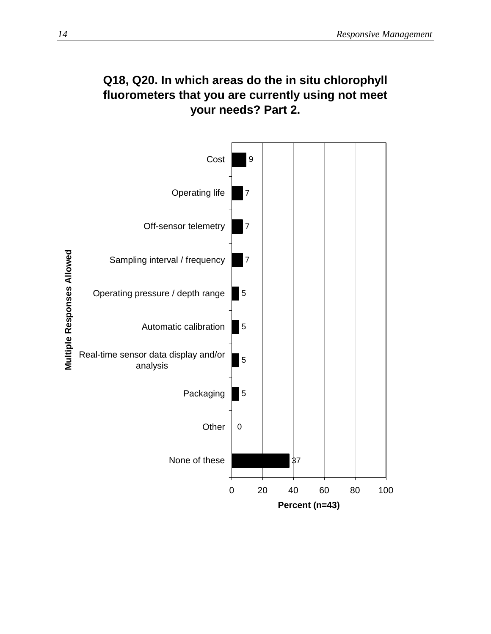

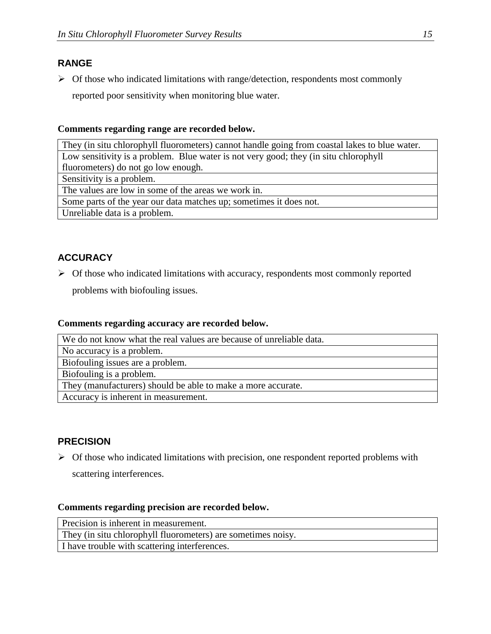#### **RANGE**

 $\triangleright$  Of those who indicated limitations with range/detection, respondents most commonly reported poor sensitivity when monitoring blue water.

#### **Comments regarding range are recorded below.**

They (in situ chlorophyll fluorometers) cannot handle going from coastal lakes to blue water. Low sensitivity is a problem. Blue water is not very good; they (in situ chlorophyll fluorometers) do not go low enough. Sensitivity is a problem.

The values are low in some of the areas we work in.

Some parts of the year our data matches up; sometimes it does not.

Unreliable data is a problem.

#### **ACCURACY**

 $\triangleright$  Of those who indicated limitations with accuracy, respondents most commonly reported

problems with biofouling issues.

#### **Comments regarding accuracy are recorded below.**

| We do not know what the real values are because of unreliable data. |
|---------------------------------------------------------------------|
| No accuracy is a problem.                                           |
| Biofouling issues are a problem.                                    |
| Biofouling is a problem.                                            |
| They (manufacturers) should be able to make a more accurate.        |
| Accuracy is inherent in measurement.                                |

#### **PRECISION**

 $\triangleright$  Of those who indicated limitations with precision, one respondent reported problems with

scattering interferences.

#### **Comments regarding precision are recorded below.**

Precision is inherent in measurement. They (in situ chlorophyll fluorometers) are sometimes noisy. I have trouble with scattering interferences.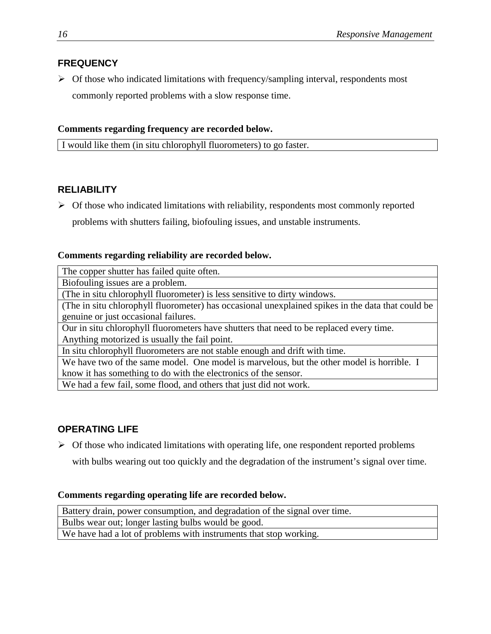#### **FREQUENCY**

 $\triangleright$  Of those who indicated limitations with frequency/sampling interval, respondents most commonly reported problems with a slow response time.

#### **Comments regarding frequency are recorded below.**

I would like them (in situ chlorophyll fluorometers) to go faster.

#### **RELIABILITY**

 $\triangleright$  Of those who indicated limitations with reliability, respondents most commonly reported problems with shutters failing, biofouling issues, and unstable instruments.

#### **Comments regarding reliability are recorded below.**

The copper shutter has failed quite often.

Biofouling issues are a problem.

(The in situ chlorophyll fluorometer) is less sensitive to dirty windows.

(The in situ chlorophyll fluorometer) has occasional unexplained spikes in the data that could be genuine or just occasional failures.

Our in situ chlorophyll fluorometers have shutters that need to be replaced every time. Anything motorized is usually the fail point.

In situ chlorophyll fluorometers are not stable enough and drift with time.

We have two of the same model. One model is marvelous, but the other model is horrible. I know it has something to do with the electronics of the sensor.

We had a few fail, some flood, and others that just did not work.

#### **OPERATING LIFE**

 $\triangleright$  Of those who indicated limitations with operating life, one respondent reported problems

with bulbs wearing out too quickly and the degradation of the instrument's signal over time.

#### **Comments regarding operating life are recorded below.**

Battery drain, power consumption, and degradation of the signal over time. Bulbs wear out; longer lasting bulbs would be good. We have had a lot of problems with instruments that stop working.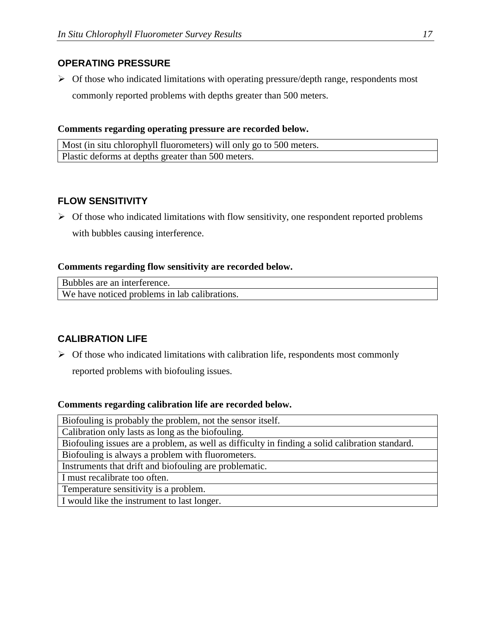#### **OPERATING PRESSURE**

 $\triangleright$  Of those who indicated limitations with operating pressure/depth range, respondents most commonly reported problems with depths greater than 500 meters.

#### **Comments regarding operating pressure are recorded below.**

Most (in situ chlorophyll fluorometers) will only go to 500 meters. Plastic deforms at depths greater than 500 meters.

#### **FLOW SENSITIVITY**

 $\triangleright$  Of those who indicated limitations with flow sensitivity, one respondent reported problems with bubbles causing interference.

#### **Comments regarding flow sensitivity are recorded below.**

Bubbles are an interference. We have noticed problems in lab calibrations.

#### **CALIBRATION LIFE**

 $\triangleright$  Of those who indicated limitations with calibration life, respondents most commonly

reported problems with biofouling issues.

#### **Comments regarding calibration life are recorded below.**

Biofouling is probably the problem, not the sensor itself. Calibration only lasts as long as the biofouling. Biofouling issues are a problem, as well as difficulty in finding a solid calibration standard. Biofouling is always a problem with fluorometers. Instruments that drift and biofouling are problematic. I must recalibrate too often. Temperature sensitivity is a problem. I would like the instrument to last longer.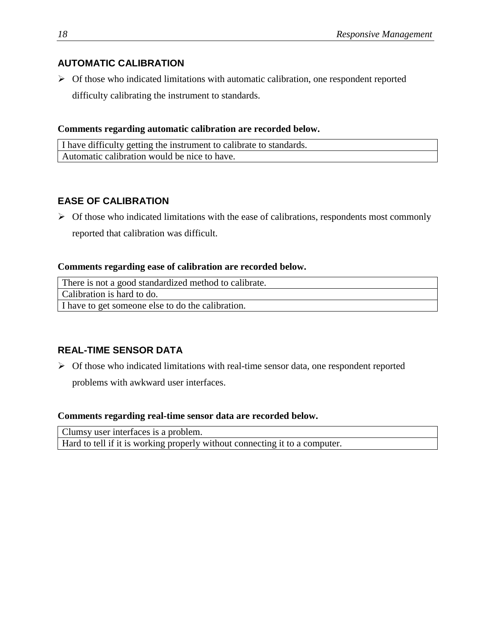#### **AUTOMATIC CALIBRATION**

 $\triangleright$  Of those who indicated limitations with automatic calibration, one respondent reported difficulty calibrating the instrument to standards.

#### **Comments regarding automatic calibration are recorded below.**

| I have difficulty getting the instrument to calibrate to standards. |  |
|---------------------------------------------------------------------|--|
| Automatic calibration would be nice to have.                        |  |

#### **EASE OF CALIBRATION**

 $\triangleright$  Of those who indicated limitations with the ease of calibrations, respondents most commonly reported that calibration was difficult.

#### **Comments regarding ease of calibration are recorded below.**

There is not a good standardized method to calibrate.

Calibration is hard to do.

I have to get someone else to do the calibration.

#### **REAL-TIME SENSOR DATA**

 $\triangleright$  Of those who indicated limitations with real-time sensor data, one respondent reported

problems with awkward user interfaces.

#### **Comments regarding real-time sensor data are recorded below.**

| Clumsy user interfaces is a problem.                                        |  |
|-----------------------------------------------------------------------------|--|
| Hard to tell if it is working properly without connecting it to a computer. |  |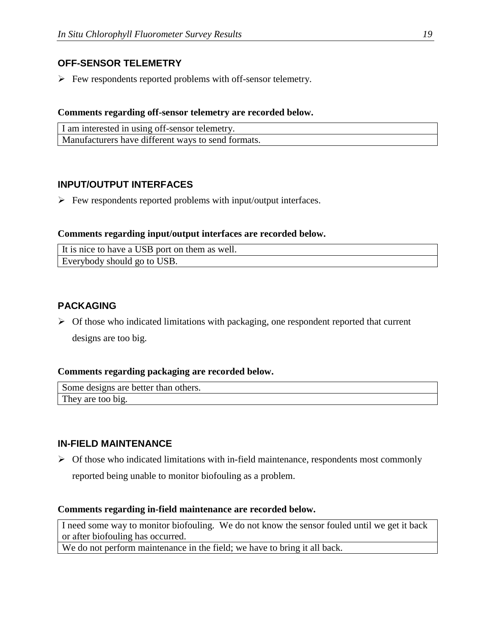#### **OFF-SENSOR TELEMETRY**

 $\triangleright$  Few respondents reported problems with off-sensor telemetry.

#### **Comments regarding off-sensor telemetry are recorded below.**

| I am interested in using off-sensor telemetry.     |  |
|----------------------------------------------------|--|
| Manufacturers have different ways to send formats. |  |

#### **INPUT/OUTPUT INTERFACES**

 $\triangleright$  Few respondents reported problems with input/output interfaces.

#### **Comments regarding input/output interfaces are recorded below.**

| It is nice to have a USB port on them as well. |  |
|------------------------------------------------|--|
| Everybody should go to USB.                    |  |

#### **PACKAGING**

 $\triangleright$  Of those who indicated limitations with packaging, one respondent reported that current designs are too big.

#### **Comments regarding packaging are recorded below.**

Some designs are better than others. They are too big.

#### **IN-FIELD MAINTENANCE**

 $\triangleright$  Of those who indicated limitations with in-field maintenance, respondents most commonly reported being unable to monitor biofouling as a problem.

#### **Comments regarding in-field maintenance are recorded below.**

I need some way to monitor biofouling. We do not know the sensor fouled until we get it back or after biofouling has occurred.

We do not perform maintenance in the field; we have to bring it all back.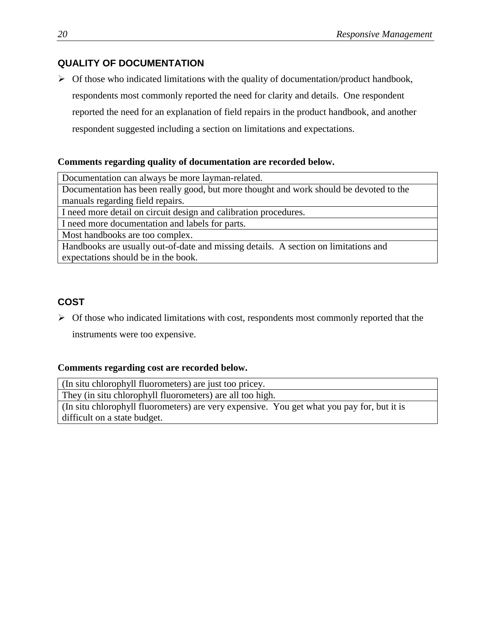#### **QUALITY OF DOCUMENTATION**

 $\triangleright$  Of those who indicated limitations with the quality of documentation/product handbook, respondents most commonly reported the need for clarity and details. One respondent reported the need for an explanation of field repairs in the product handbook, and another respondent suggested including a section on limitations and expectations.

#### **Comments regarding quality of documentation are recorded below.**

Documentation can always be more layman-related.

Documentation has been really good, but more thought and work should be devoted to the manuals regarding field repairs.

I need more detail on circuit design and calibration procedures.

I need more documentation and labels for parts.

Most handbooks are too complex.

Handbooks are usually out-of-date and missing details. A section on limitations and expectations should be in the book.

#### **COST**

 $\triangleright$  Of those who indicated limitations with cost, respondents most commonly reported that the instruments were too expensive.

#### **Comments regarding cost are recorded below.**

(In situ chlorophyll fluorometers) are just too pricey.

They (in situ chlorophyll fluorometers) are all too high.

(In situ chlorophyll fluorometers) are very expensive. You get what you pay for, but it is difficult on a state budget.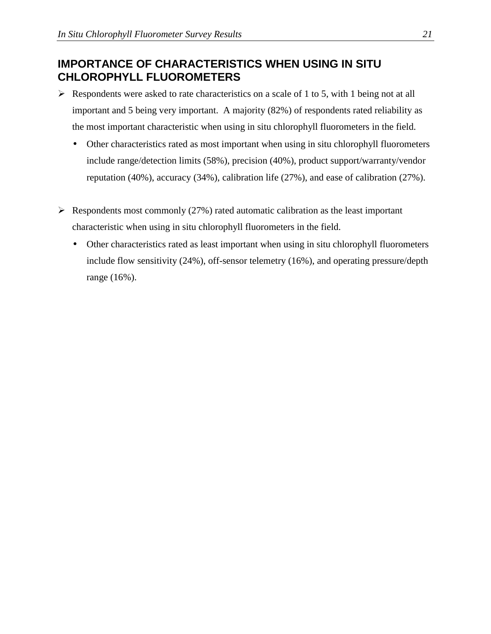## **IMPORTANCE OF CHARACTERISTICS WHEN USING IN SITU CHLOROPHYLL FLUOROMETERS**

- $\triangleright$  Respondents were asked to rate characteristics on a scale of 1 to 5, with 1 being not at all important and 5 being very important. A majority (82%) of respondents rated reliability as the most important characteristic when using in situ chlorophyll fluorometers in the field.
	- Other characteristics rated as most important when using in situ chlorophyll fluorometers include range/detection limits (58%), precision (40%), product support/warranty/vendor reputation (40%), accuracy (34%), calibration life (27%), and ease of calibration (27%).
- $\triangleright$  Respondents most commonly (27%) rated automatic calibration as the least important characteristic when using in situ chlorophyll fluorometers in the field.
	- Other characteristics rated as least important when using in situ chlorophyll fluorometers include flow sensitivity (24%), off-sensor telemetry (16%), and operating pressure/depth range (16%).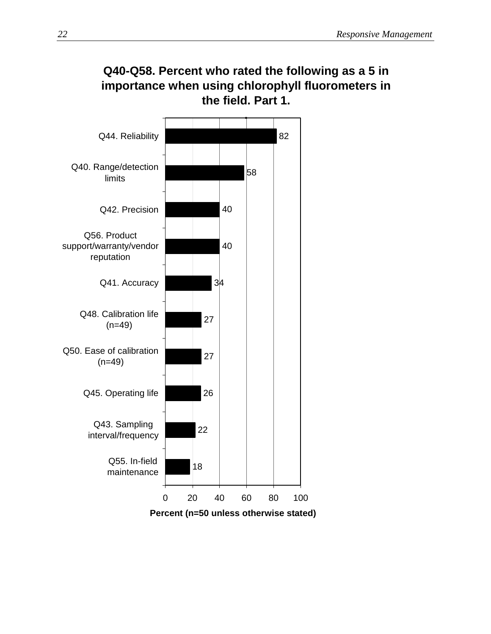

# **Q40-Q58. Percent who rated the following as a 5 in importance when using chlorophyll fluorometers in**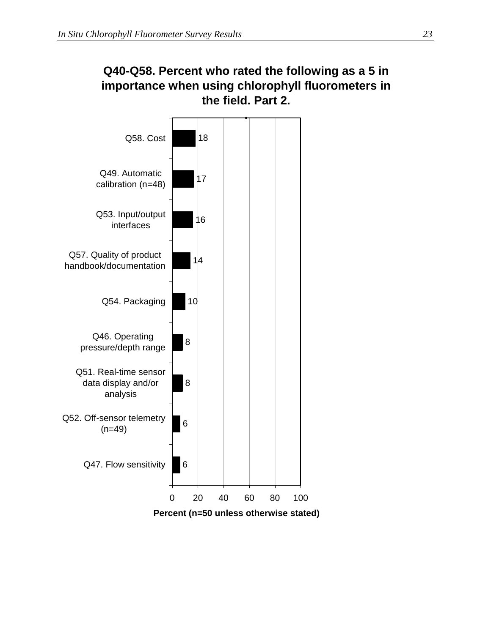## **Q40-Q58. Percent who rated the following as a 5 in importance when using chlorophyll fluorometers in the field. Part 2.**

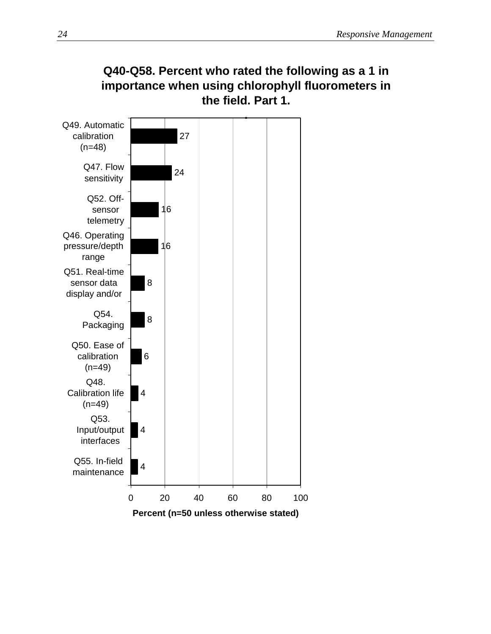

# **Q40-Q58. Percent who rated the following as a 1 in importance when using chlorophyll fluorometers in**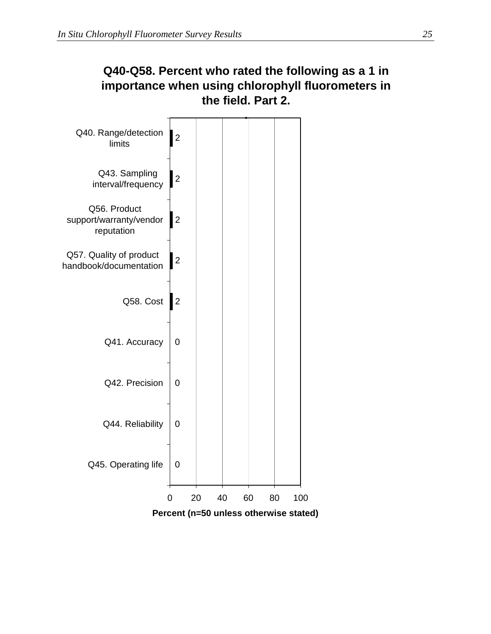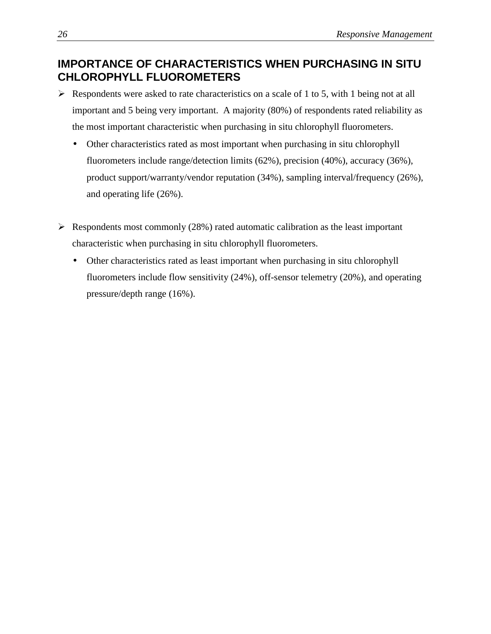## **IMPORTANCE OF CHARACTERISTICS WHEN PURCHASING IN SITU CHLOROPHYLL FLUOROMETERS**

- $\triangleright$  Respondents were asked to rate characteristics on a scale of 1 to 5, with 1 being not at all important and 5 being very important. A majority (80%) of respondents rated reliability as the most important characteristic when purchasing in situ chlorophyll fluorometers.
	- Other characteristics rated as most important when purchasing in situ chlorophyll fluorometers include range/detection limits (62%), precision (40%), accuracy (36%), product support/warranty/vendor reputation (34%), sampling interval/frequency (26%), and operating life (26%).
- $\triangleright$  Respondents most commonly (28%) rated automatic calibration as the least important characteristic when purchasing in situ chlorophyll fluorometers.
	- Other characteristics rated as least important when purchasing in situ chlorophyll fluorometers include flow sensitivity (24%), off-sensor telemetry (20%), and operating pressure/depth range (16%).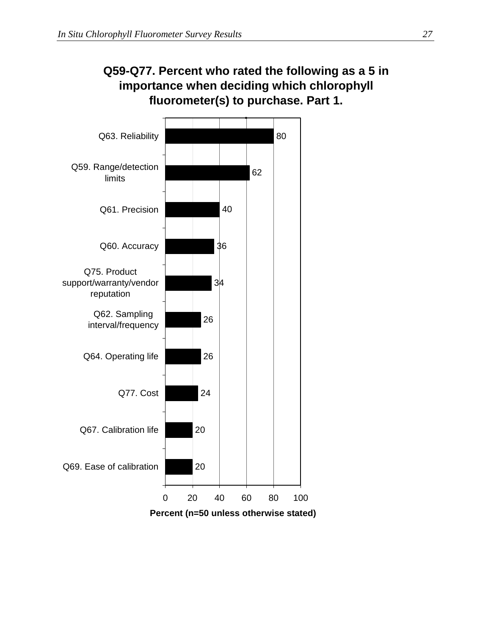

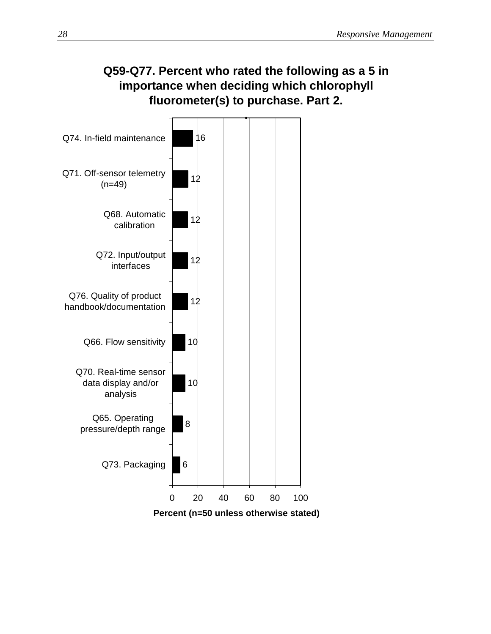## **Q59-Q77. Percent who rated the following as a 5 in importance when deciding which chlorophyll fluorometer(s) to purchase. Part 2.**

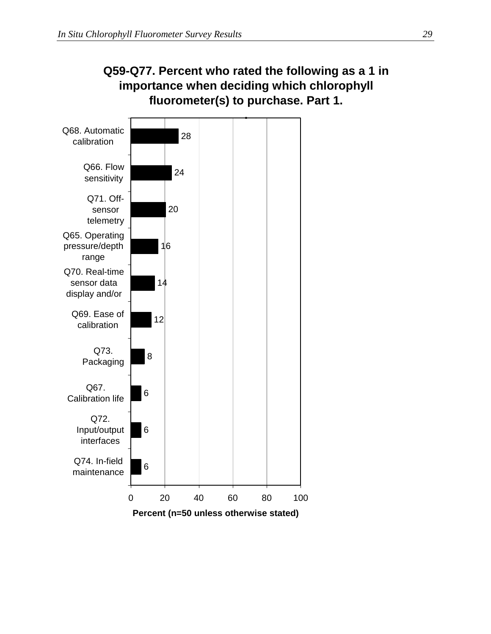

**Percent (n=50 unless otherwise stated)**

# **Q59-Q77. Percent who rated the following as a 1 in importance when deciding which chlorophyll**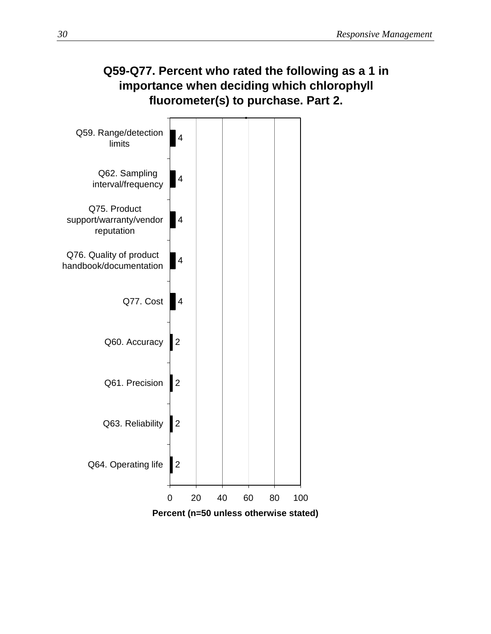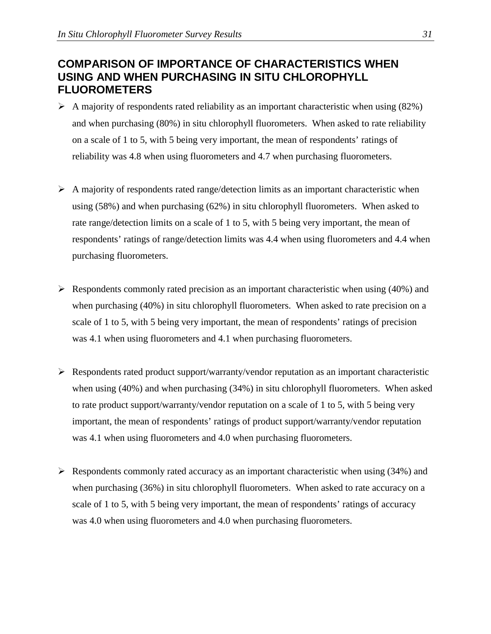#### **COMPARISON OF IMPORTANCE OF CHARACTERISTICS WHEN USING AND WHEN PURCHASING IN SITU CHLOROPHYLL FLUOROMETERS**

- $\triangleright$  A majority of respondents rated reliability as an important characteristic when using (82%) and when purchasing (80%) in situ chlorophyll fluorometers. When asked to rate reliability on a scale of 1 to 5, with 5 being very important, the mean of respondents' ratings of reliability was 4.8 when using fluorometers and 4.7 when purchasing fluorometers.
- $\triangleright$  A majority of respondents rated range/detection limits as an important characteristic when using (58%) and when purchasing (62%) in situ chlorophyll fluorometers. When asked to rate range/detection limits on a scale of 1 to 5, with 5 being very important, the mean of respondents' ratings of range/detection limits was 4.4 when using fluorometers and 4.4 when purchasing fluorometers.
- $\triangleright$  Respondents commonly rated precision as an important characteristic when using (40%) and when purchasing (40%) in situ chlorophyll fluorometers. When asked to rate precision on a scale of 1 to 5, with 5 being very important, the mean of respondents' ratings of precision was 4.1 when using fluorometers and 4.1 when purchasing fluorometers.
- $\triangleright$  Respondents rated product support/warranty/vendor reputation as an important characteristic when using (40%) and when purchasing (34%) in situ chlorophyll fluorometers. When asked to rate product support/warranty/vendor reputation on a scale of 1 to 5, with 5 being very important, the mean of respondents' ratings of product support/warranty/vendor reputation was 4.1 when using fluorometers and 4.0 when purchasing fluorometers.
- $\triangleright$  Respondents commonly rated accuracy as an important characteristic when using (34%) and when purchasing (36%) in situ chlorophyll fluorometers. When asked to rate accuracy on a scale of 1 to 5, with 5 being very important, the mean of respondents' ratings of accuracy was 4.0 when using fluorometers and 4.0 when purchasing fluorometers.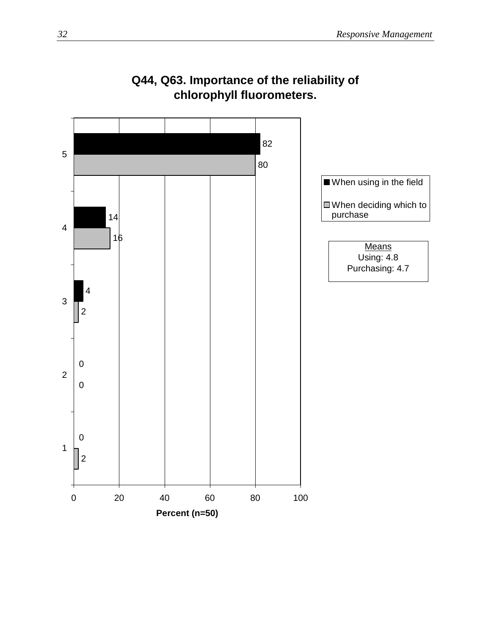

# **Q44, Q63. Importance of the reliability of chlorophyll fluorometers.**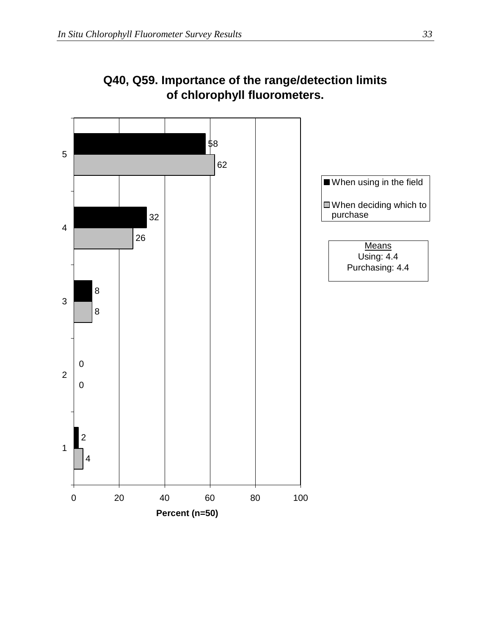

# **Q40, Q59. Importance of the range/detection limits of chlorophyll fluorometers.**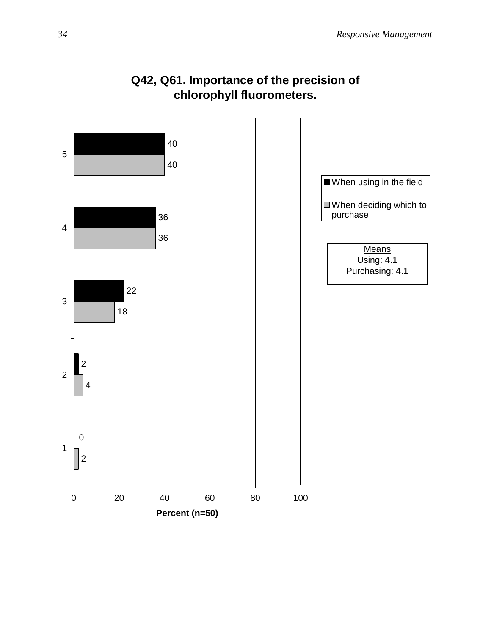

# **Q42, Q61. Importance of the precision of chlorophyll fluorometers.**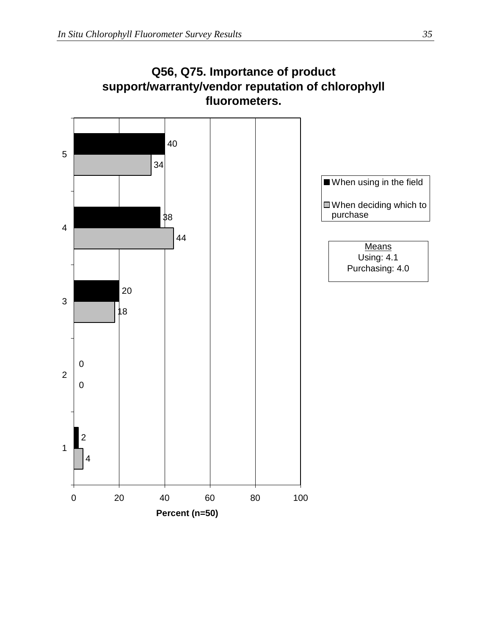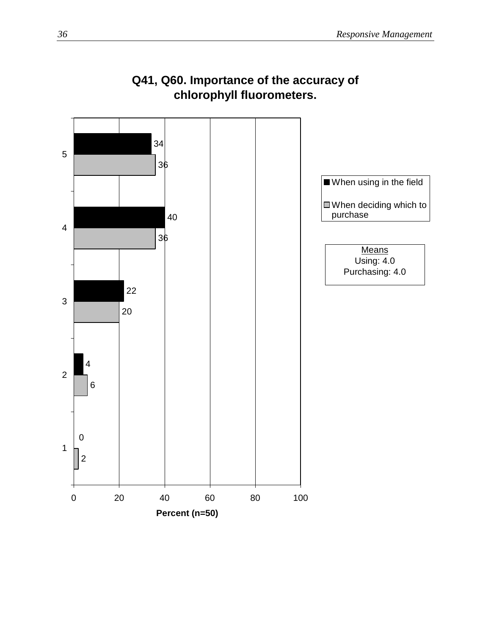

# **Q41, Q60. Importance of the accuracy of chlorophyll fluorometers.**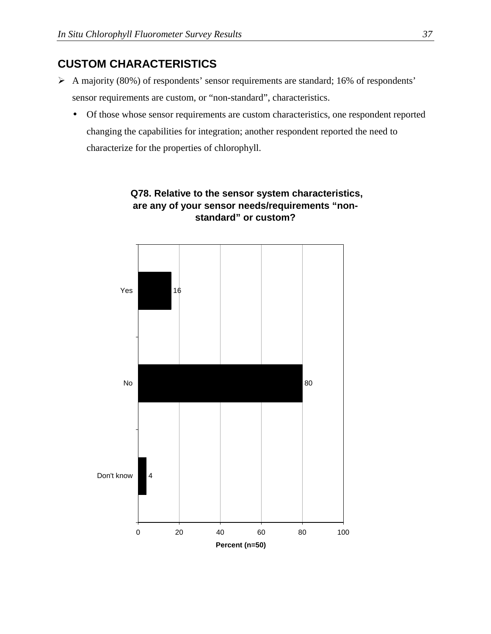#### **CUSTOM CHARACTERISTICS**

- A majority (80%) of respondents' sensor requirements are standard; 16% of respondents' sensor requirements are custom, or "non-standard", characteristics.
	- Of those whose sensor requirements are custom characteristics, one respondent reported changing the capabilities for integration; another respondent reported the need to characterize for the properties of chlorophyll.



#### **Q78. Relative to the sensor system characteristics, are any of your sensor needs/requirements "nonstandard" or custom?**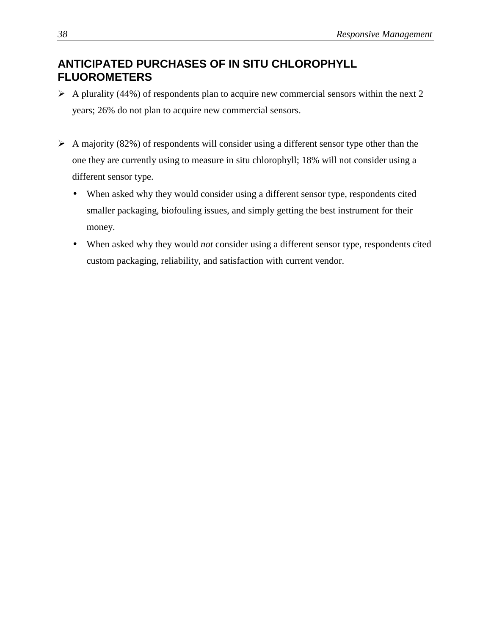### **ANTICIPATED PURCHASES OF IN SITU CHLOROPHYLL FLUOROMETERS**

- $\triangleright$  A plurality (44%) of respondents plan to acquire new commercial sensors within the next 2 years; 26% do not plan to acquire new commercial sensors.
- $\triangleright$  A majority (82%) of respondents will consider using a different sensor type other than the one they are currently using to measure in situ chlorophyll; 18% will not consider using a different sensor type.
	- When asked why they would consider using a different sensor type, respondents cited smaller packaging, biofouling issues, and simply getting the best instrument for their money.
	- When asked why they would *not* consider using a different sensor type, respondents cited custom packaging, reliability, and satisfaction with current vendor.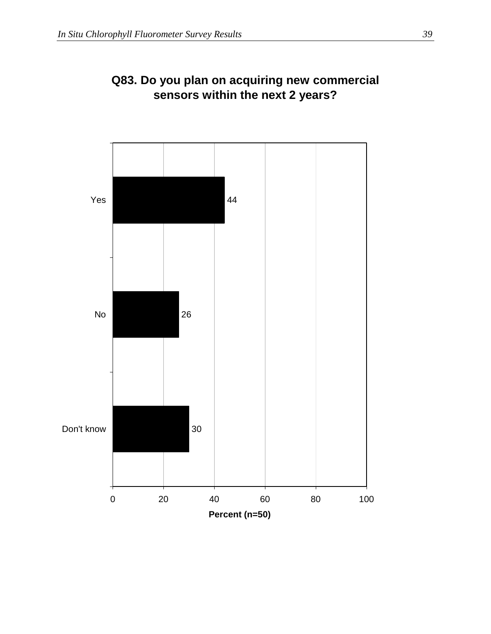

### **Q83. Do you plan on acquiring new commercial sensors within the next 2 years?**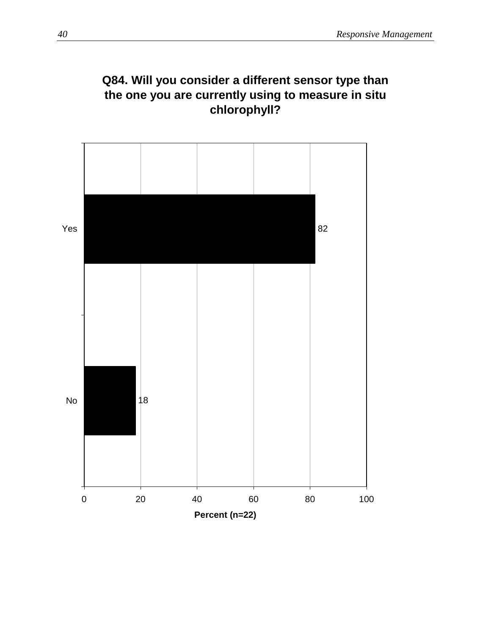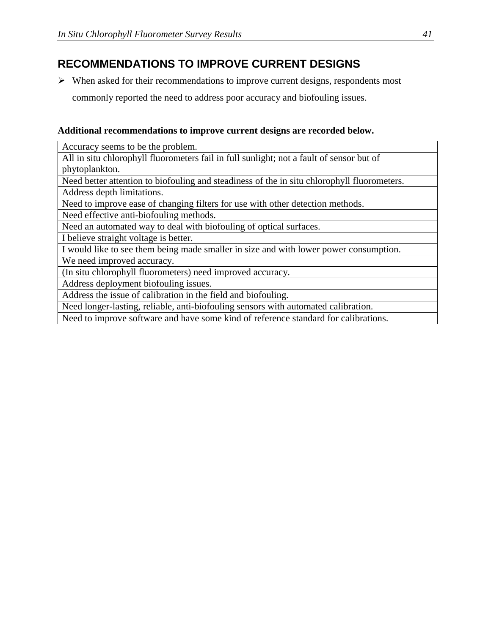### **RECOMMENDATIONS TO IMPROVE CURRENT DESIGNS**

 $\triangleright$  When asked for their recommendations to improve current designs, respondents most commonly reported the need to address poor accuracy and biofouling issues.

#### **Additional recommendations to improve current designs are recorded below.**

Accuracy seems to be the problem.

All in situ chlorophyll fluorometers fail in full sunlight; not a fault of sensor but of phytoplankton.

Need better attention to biofouling and steadiness of the in situ chlorophyll fluorometers.

Address depth limitations.

Need to improve ease of changing filters for use with other detection methods.

Need effective anti-biofouling methods.

Need an automated way to deal with biofouling of optical surfaces.

I believe straight voltage is better.

I would like to see them being made smaller in size and with lower power consumption.

We need improved accuracy.

(In situ chlorophyll fluorometers) need improved accuracy.

Address deployment biofouling issues.

Address the issue of calibration in the field and biofouling.

Need longer-lasting, reliable, anti-biofouling sensors with automated calibration.

Need to improve software and have some kind of reference standard for calibrations.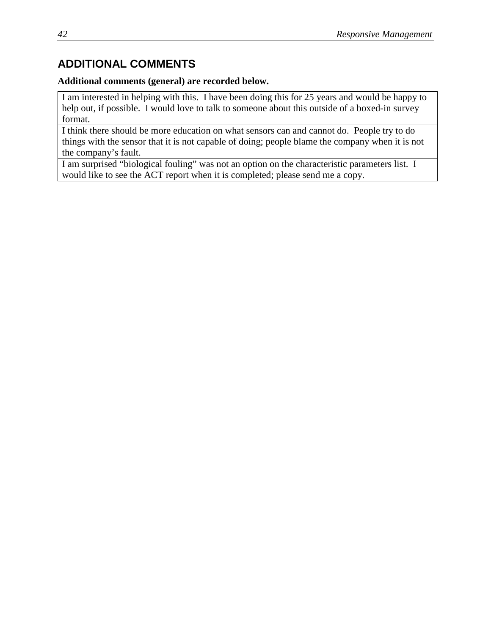### **ADDITIONAL COMMENTS**

#### **Additional comments (general) are recorded below.**

I am interested in helping with this. I have been doing this for 25 years and would be happy to help out, if possible. I would love to talk to someone about this outside of a boxed-in survey format.

I think there should be more education on what sensors can and cannot do. People try to do things with the sensor that it is not capable of doing; people blame the company when it is not the company's fault.

I am surprised "biological fouling" was not an option on the characteristic parameters list. I would like to see the ACT report when it is completed; please send me a copy.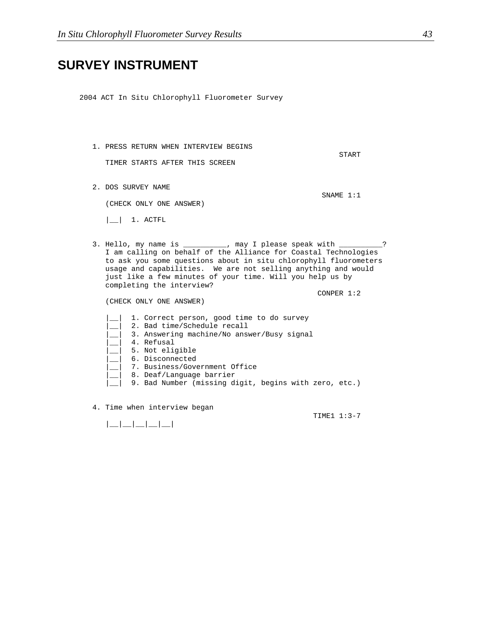# **SURVEY INSTRUMENT**

2004 ACT In Situ Chlorophyll Fluorometer Survey

|                                                                                                                        | <b>START</b>                                                                                                                                                                                                                                                                                                                                                                                                                                                     |
|------------------------------------------------------------------------------------------------------------------------|------------------------------------------------------------------------------------------------------------------------------------------------------------------------------------------------------------------------------------------------------------------------------------------------------------------------------------------------------------------------------------------------------------------------------------------------------------------|
| TIMER STARTS AFTER THIS SCREEN                                                                                         |                                                                                                                                                                                                                                                                                                                                                                                                                                                                  |
|                                                                                                                        | SNAME 1:1                                                                                                                                                                                                                                                                                                                                                                                                                                                        |
| (CHECK ONLY ONE ANSWER)                                                                                                |                                                                                                                                                                                                                                                                                                                                                                                                                                                                  |
| 1. ACTFL                                                                                                               |                                                                                                                                                                                                                                                                                                                                                                                                                                                                  |
| completing the interview?                                                                                              | - ?                                                                                                                                                                                                                                                                                                                                                                                                                                                              |
| (CHECK ONLY ONE ANSWER)                                                                                                | CONPER $1:2$                                                                                                                                                                                                                                                                                                                                                                                                                                                     |
| 1. Correct person, good time to do survey<br>2. Bad time/Schedule recall<br>3. Answering machine/No answer/Busy signal |                                                                                                                                                                                                                                                                                                                                                                                                                                                                  |
|                                                                                                                        | 1. PRESS RETURN WHEN INTERVIEW BEGINS<br>2. DOS SURVEY NAME<br>3. Hello, my name is __________, may I please speak with __________<br>I am calling on behalf of the Alliance for Coastal Technologies<br>to ask you some questions about in situ chlorophyll fluorometers<br>usage and capabilities. We are not selling anything and would<br>just like a few minutes of your time. Will you help us by<br>9. Bad Number (missing digit, begins with zero, etc.) |

4. Time when interview began

TIME1 1:3-7

 $|$   $|$   $|$   $|$   $|$   $|$   $|$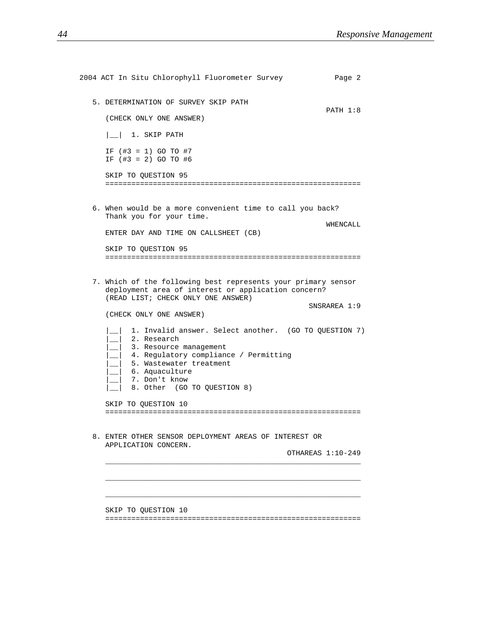| 2004 ACT In Situ Chlorophyll Fluorometer Survey                                                                                                                                                                                      | Page 2            |  |
|--------------------------------------------------------------------------------------------------------------------------------------------------------------------------------------------------------------------------------------|-------------------|--|
| 5. DETERMINATION OF SURVEY SKIP PATH                                                                                                                                                                                                 | PATH 1:8          |  |
| (CHECK ONLY ONE ANSWER)                                                                                                                                                                                                              |                   |  |
| 1. SKIP PATH                                                                                                                                                                                                                         |                   |  |
| IF $(\#3 = 1)$ GO TO $\#7$<br>IF $(\#3 = 2)$ GO TO #6                                                                                                                                                                                |                   |  |
| SKIP TO OUESTION 95                                                                                                                                                                                                                  |                   |  |
| 6. When would be a more convenient time to call you back?<br>Thank you for your time.<br>ENTER DAY AND TIME ON CALLSHEET (CB)<br>SKIP TO QUESTION 95                                                                                 | WHENCALL          |  |
|                                                                                                                                                                                                                                      |                   |  |
| 7. Which of the following best represents your primary sensor<br>deployment area of interest or application concern?<br>(READ LIST; CHECK ONLY ONE ANSWER)                                                                           |                   |  |
| (CHECK ONLY ONE ANSWER)                                                                                                                                                                                                              | SNSRAREA 1:9      |  |
| 1. Invalid answer. Select another. (GO TO QUESTION 7)<br>2. Research<br>3. Resource management<br>4. Regulatory compliance / Permitting<br>5. Wastewater treatment<br>6. Aquaculture<br>7. Don't know<br>8. Other (GO TO QUESTION 8) |                   |  |
| SKIP TO QUESTION 10                                                                                                                                                                                                                  |                   |  |
| 8. ENTER OTHER SENSOR DEPLOYMENT AREAS OF INTEREST OR<br>APPLICATION CONCERN.                                                                                                                                                        | OTHAREAS 1:10-249 |  |
| SKIP TO QUESTION 10                                                                                                                                                                                                                  |                   |  |
|                                                                                                                                                                                                                                      |                   |  |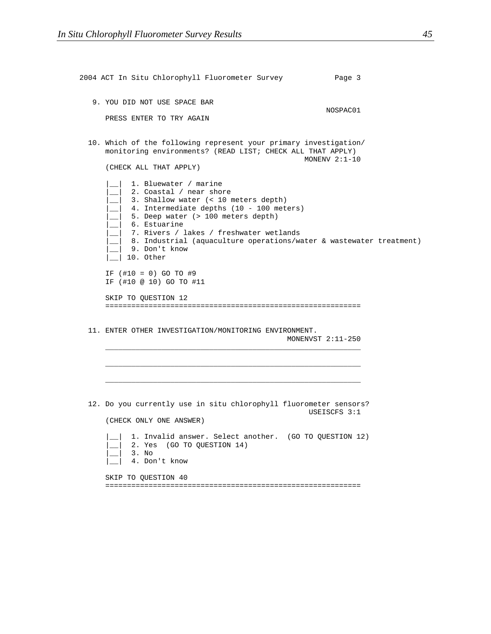| 2004 ACT In Situ Chlorophyll Fluorometer Survey                                                                                                                                                                                                                                                                                                                       | Page 3            |
|-----------------------------------------------------------------------------------------------------------------------------------------------------------------------------------------------------------------------------------------------------------------------------------------------------------------------------------------------------------------------|-------------------|
| 9. YOU DID NOT USE SPACE BAR<br>PRESS ENTER TO TRY AGAIN                                                                                                                                                                                                                                                                                                              | NOSPAC01          |
| 10. Which of the following represent your primary investigation/<br>monitoring environments? (READ LIST; CHECK ALL THAT APPLY)<br>(CHECK ALL THAT APPLY)                                                                                                                                                                                                              | MONENV $2:1-10$   |
| 1. Bluewater / marine<br>2. Coastal / near shore<br>3. Shallow water (< 10 meters depth)<br>10 - 100 meters) 4. Intermediate depths (10 - 100 meters)<br>5. Deep water (> 100 meters depth)<br>_  6. Estuarine<br>_  7. Rivers / lakes / freshwater wetlands<br>_   8. Industrial (aquaculture operations/water & wastewater treatment)<br>9. Don't know<br>10. Other |                   |
| IF $(\#10 = 0)$ GO TO #9<br>IF (#10 @ 10) GO TO #11<br>SKIP TO QUESTION 12                                                                                                                                                                                                                                                                                            |                   |
| 11. ENTER OTHER INVESTIGATION/MONITORING ENVIRONMENT.                                                                                                                                                                                                                                                                                                                 | MONENVST 2:11-250 |
|                                                                                                                                                                                                                                                                                                                                                                       |                   |
| 12. Do you currently use in situ chlorophyll fluorometer sensors?<br>(CHECK ONLY ONE ANSWER)<br>1. Invalid answer. Select another. (GO TO QUESTION 12)<br>2. Yes (GO TO QUESTION 14)<br>3. No<br>4. Don't know                                                                                                                                                        | USEISCFS 3:1      |
| SKIP TO QUESTION 40                                                                                                                                                                                                                                                                                                                                                   |                   |

===========================================================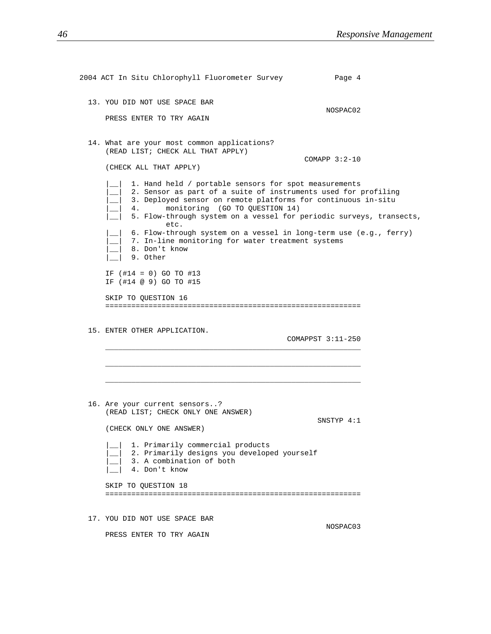| 2004 ACT In Situ Chlorophyll Fluorometer Survey                                                                                                                                                                                                                                                                                                                                                                       |                   | Page 4 |
|-----------------------------------------------------------------------------------------------------------------------------------------------------------------------------------------------------------------------------------------------------------------------------------------------------------------------------------------------------------------------------------------------------------------------|-------------------|--------|
| 13. YOU DID NOT USE SPACE BAR<br>PRESS ENTER TO TRY AGAIN                                                                                                                                                                                                                                                                                                                                                             | NOSPAC02          |        |
| 14. What are your most common applications?<br>(READ LIST; CHECK ALL THAT APPLY)<br>(CHECK ALL THAT APPLY)<br>1. Hand held / portable sensors for spot measurements<br>2. Sensor as part of a suite of instruments used for profiling<br>3. Deployed sensor on remote platforms for continuous in-situ<br>monitoring (GO TO QUESTION 14)<br>4.<br>5. Flow-through system on a vessel for periodic surveys, transects, | COMAPP $3:2-10$   |        |
| etc.<br>6. Flow-through system on a vessel in long-term use (e.g., ferry)<br>7. In-line monitoring for water treatment systems<br>8. Don't know<br>9. Other                                                                                                                                                                                                                                                           |                   |        |
| IF $(\#14 = 0)$ GO TO $\#13$<br>IF (#14 @ 9) GO TO #15                                                                                                                                                                                                                                                                                                                                                                |                   |        |
| SKIP TO QUESTION 16                                                                                                                                                                                                                                                                                                                                                                                                   |                   |        |
| 15. ENTER OTHER APPLICATION.                                                                                                                                                                                                                                                                                                                                                                                          | COMAPPST 3:11-250 |        |
|                                                                                                                                                                                                                                                                                                                                                                                                                       |                   |        |
| 16. Are your current sensors?<br>(READ LIST; CHECK ONLY ONE ANSWER)<br>(CHECK ONLY ONE ANSWER)                                                                                                                                                                                                                                                                                                                        | SNSTYP 4:1        |        |
| 1. Primarily commercial products<br>2. Primarily designs you developed yourself<br>3. A combination of both<br>4. Don't know                                                                                                                                                                                                                                                                                          |                   |        |
| SKIP TO QUESTION 18                                                                                                                                                                                                                                                                                                                                                                                                   |                   |        |
| 17. YOU DID NOT USE SPACE BAR<br>PRESS ENTER TO TRY AGAIN                                                                                                                                                                                                                                                                                                                                                             | NOSPAC03          |        |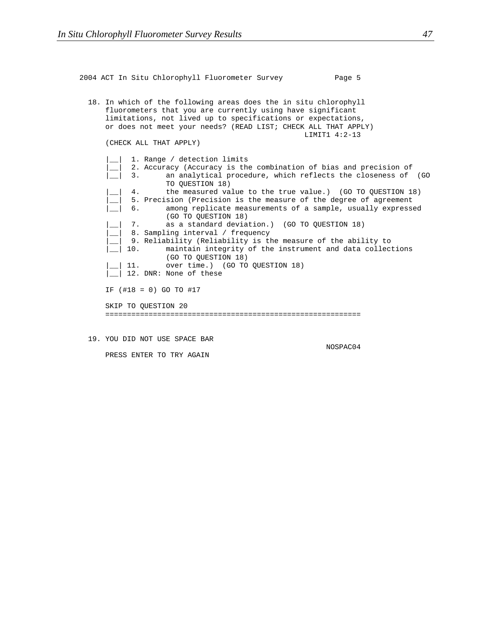2004 ACT In Situ Chlorophyll Fluorometer Survey Page 5 18. In which of the following areas does the in situ chlorophyll fluorometers that you are currently using have significant limitations, not lived up to specifications or expectations, or does not meet your needs? (READ LIST; CHECK ALL THAT APPLY) LIMIT1 4:2-13 (CHECK ALL THAT APPLY) 1. Range / detection limits 2. Accuracy (Accuracy is the combination of bias and precision of 3. an analytical procedure, which reflects the closeness of (GO TO QUESTION 18) 4. the measured value to the true value.) (GO TO QUESTION 18) 5. Precision (Precision is the measure of the degree of agreement |\_\_| 6. among replicate measurements of a sample, usually expressed (GO TO QUESTION 18) | | 7. as a standard deviation.) (GO TO QUESTION 18)  $\begin{array}{c|c} \text{\textendash} & 8. \end{array}$  Sampling interval / frequency 9. Reliability (Reliability is the measure of the ability to |\_| 10. maintain integrity of the instrument and data collections (GO TO QUESTION 18) | | | 11. over time.) (GO TO QUESTION 18) | || 12. DNR: None of these IF (#18 = 0) GO TO #17 SKIP TO QUESTION 20 ===========================================================

19. YOU DID NOT USE SPACE BAR

NOSPAC04

PRESS ENTER TO TRY AGAIN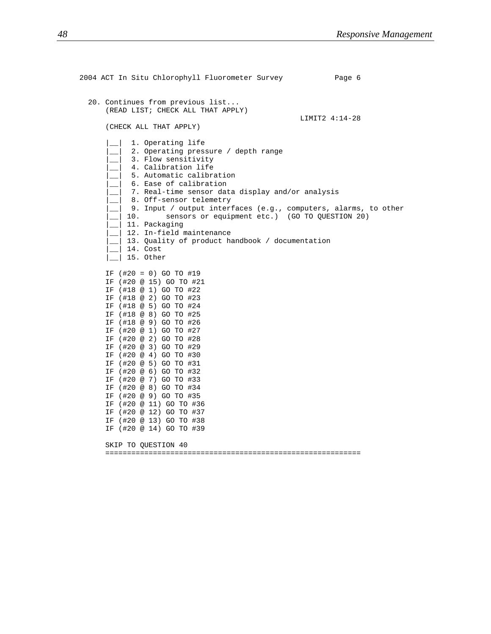2004 ACT In Situ Chlorophyll Fluorometer Survey Page 6 20. Continues from previous list... (READ LIST; CHECK ALL THAT APPLY) LIMIT2 4:14-28 (CHECK ALL THAT APPLY) |\_\_| 1. Operating life 2. Operating pressure / depth range 3. Flow sensitivity 4. Calibration life 5. Automatic calibration |\_\_| 6. Ease of calibration 7. Real-time sensor data display and/or analysis |\_\_| 8. Off-sensor telemetry  $\Box$  9. Input / output interfaces (e.g., computers, alarms, to other 10. sensors or equipment etc.) (GO TO QUESTION 20) |\_\_| 11. Packaging |\_\_| 12. In-field maintenance  $\Box$  13. Quality of product handbook / documentation |\_\_| 14. Cost  $\vert$   $\vert$  15. Other IF (#20 = 0) GO TO #19 IF (#20 @ 15) GO TO #21 IF (#18 @ 1) GO TO #22 IF (#18 @ 2) GO TO #23 IF (#18 @ 5) GO TO #24 IF (#18 @ 8) GO TO #25 IF (#18 @ 9) GO TO #26 IF (#20 @ 1) GO TO #27 IF (#20 @ 2) GO TO #28 IF (#20 @ 3) GO TO #29 IF (#20 @ 4) GO TO #30 IF (#20 @ 5) GO TO #31 IF (#20 @ 6) GO TO #32 IF (#20 @ 7) GO TO #33 IF (#20 @ 8) GO TO #34 IF (#20 @ 9) GO TO #35 IF (#20 @ 11) GO TO #36 IF (#20 @ 12) GO TO #37 IF (#20 @ 13) GO TO #38 IF (#20 @ 14) GO TO #39 SKIP TO QUESTION 40 ===========================================================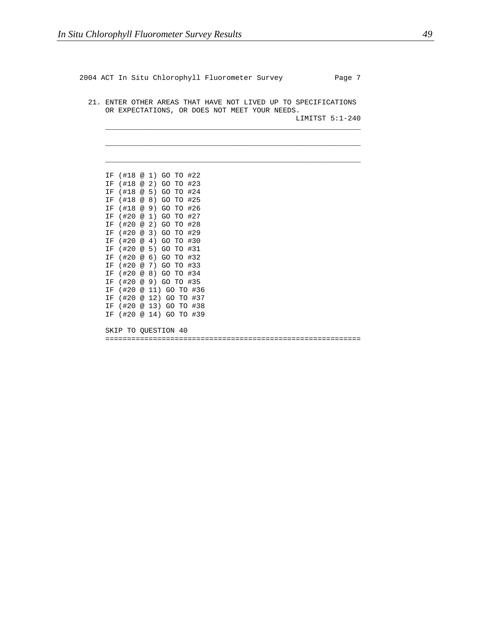2004 ACT In Situ Chlorophyll Fluorometer Survey Page 7

21. ENTER OTHER AREAS THAT HAVE NOT LIVED UP TO SPECIFICATIONS OR EXPECTATIONS, OR DOES NOT MEET YOUR NEEDS.

\_\_\_\_\_\_\_\_\_\_\_\_\_\_\_\_\_\_\_\_\_\_\_\_\_\_\_\_\_\_\_\_\_\_\_\_\_\_\_\_\_\_\_\_\_\_\_\_\_\_\_\_\_\_\_\_\_\_\_

\_\_\_\_\_\_\_\_\_\_\_\_\_\_\_\_\_\_\_\_\_\_\_\_\_\_\_\_\_\_\_\_\_\_\_\_\_\_\_\_\_\_\_\_\_\_\_\_\_\_\_\_\_\_\_\_\_\_\_

\_\_\_\_\_\_\_\_\_\_\_\_\_\_\_\_\_\_\_\_\_\_\_\_\_\_\_\_\_\_\_\_\_\_\_\_\_\_\_\_\_\_\_\_\_\_\_\_\_\_\_\_\_\_\_\_\_\_\_

LIMITST 5:1-240

IF (#18 @ 1) GO TO #22 IF (#18 @ 2) GO TO #23 IF (#18 @ 5) GO TO #24 IF (#18 @ 8) GO TO #25 IF (#18 @ 9) GO TO #26 IF (#20 @ 1) GO TO #27 IF (#20 @ 2) GO TO #28 IF (#20 @ 3) GO TO #29 IF (#20 @ 4) GO TO #30 IF (#20 @ 5) GO TO #31 IF (#20 @ 6) GO TO #32 IF (#20 @ 7) GO TO #33 IF (#20 @ 8) GO TO #34 IF (#20 @ 9) GO TO #35 IF (#20 @ 11) GO TO #36 IF (#20 @ 12) GO TO #37 IF (#20 @ 13) GO TO #38 IF (#20 @ 14) GO TO #39

SKIP TO QUESTION 40

===========================================================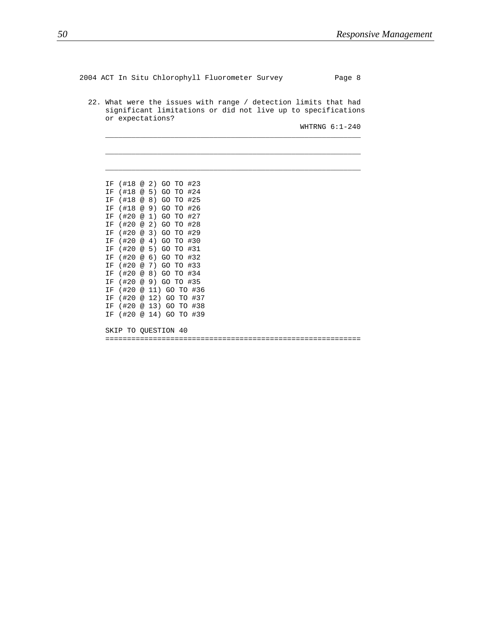2004 ACT In Situ Chlorophyll Fluorometer Survey Page 8 22. What were the issues with range / detection limits that had significant limitations or did not live up to specifications or expectations? WHTRNG 6:1-240 \_\_\_\_\_\_\_\_\_\_\_\_\_\_\_\_\_\_\_\_\_\_\_\_\_\_\_\_\_\_\_\_\_\_\_\_\_\_\_\_\_\_\_\_\_\_\_\_\_\_\_\_\_\_\_\_\_\_\_ \_\_\_\_\_\_\_\_\_\_\_\_\_\_\_\_\_\_\_\_\_\_\_\_\_\_\_\_\_\_\_\_\_\_\_\_\_\_\_\_\_\_\_\_\_\_\_\_\_\_\_\_\_\_\_\_\_\_\_ \_\_\_\_\_\_\_\_\_\_\_\_\_\_\_\_\_\_\_\_\_\_\_\_\_\_\_\_\_\_\_\_\_\_\_\_\_\_\_\_\_\_\_\_\_\_\_\_\_\_\_\_\_\_\_\_\_\_\_ IF (#18 @ 2) GO TO #23 IF (#18 @ 5) GO TO #24 IF (#18 @ 8) GO TO #25 IF (#18 @ 9) GO TO #26 IF (#20 @ 1) GO TO #27 IF (#20 @ 2) GO TO #28 IF (#20 @ 3) GO TO #29 IF (#20 @ 4) GO TO #30 IF (#20 @ 5) GO TO #31 IF (#20 @ 6) GO TO #32 IF (#20 @ 7) GO TO #33 IF (#20 @ 8) GO TO #34 IF (#20 @ 9) GO TO #35 IF (#20 @ 11) GO TO #36 IF (#20 @ 12) GO TO #37 IF (#20 @ 13) GO TO #38 IF (#20 @ 14) GO TO #39 SKIP TO QUESTION 40 ===========================================================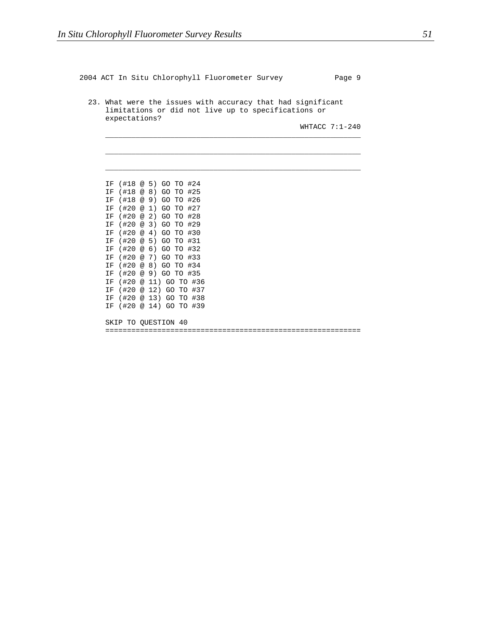2004 ACT In Situ Chlorophyll Fluorometer Survey Page 9 23. What were the issues with accuracy that had significant limitations or did not live up to specifications or expectations? WHTACC 7:1-240 \_\_\_\_\_\_\_\_\_\_\_\_\_\_\_\_\_\_\_\_\_\_\_\_\_\_\_\_\_\_\_\_\_\_\_\_\_\_\_\_\_\_\_\_\_\_\_\_\_\_\_\_\_\_\_\_\_\_\_ \_\_\_\_\_\_\_\_\_\_\_\_\_\_\_\_\_\_\_\_\_\_\_\_\_\_\_\_\_\_\_\_\_\_\_\_\_\_\_\_\_\_\_\_\_\_\_\_\_\_\_\_\_\_\_\_\_\_\_ \_\_\_\_\_\_\_\_\_\_\_\_\_\_\_\_\_\_\_\_\_\_\_\_\_\_\_\_\_\_\_\_\_\_\_\_\_\_\_\_\_\_\_\_\_\_\_\_\_\_\_\_\_\_\_\_\_\_\_ IF (#18 @ 5) GO TO #24 IF (#18 @ 8) GO TO #25 IF (#18 @ 9) GO TO #26 IF (#20 @ 1) GO TO #27 IF (#20 @ 2) GO TO #28 IF (#20 @ 3) GO TO #29 IF (#20 @ 4) GO TO #30 IF (#20 @ 5) GO TO #31 IF (#20 @ 6) GO TO #32 IF (#20 @ 7) GO TO #33 IF (#20 @ 8) GO TO #34 IF (#20 @ 9) GO TO #35 IF (#20 @ 11) GO TO #36 IF (#20 @ 12) GO TO #37 IF (#20 @ 13) GO TO #38 IF (#20 @ 14) GO TO #39 SKIP TO QUESTION 40 ===========================================================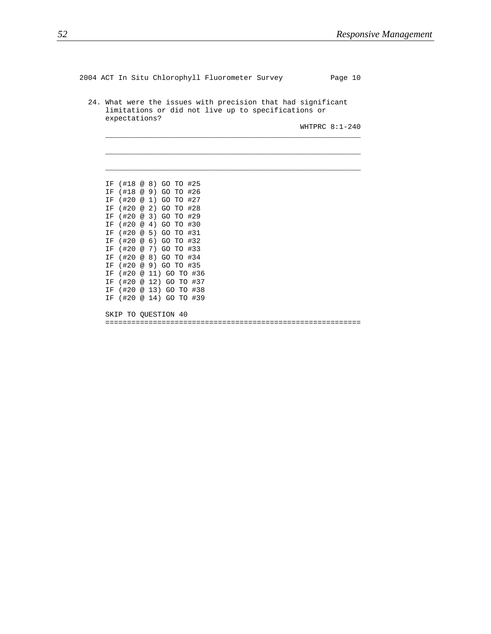```
2004 ACT In Situ Chlorophyll Fluorometer Survey Page 10
 24. What were the issues with precision that had significant
    limitations or did not live up to specifications or
    expectations?
                                                WHTPRC 8:1-240
     ___________________________________________________________
     ___________________________________________________________
     ___________________________________________________________
    IF (#18 @ 8) GO TO #25
    IF (#18 @ 9) GO TO #26
    IF (#20 @ 1) GO TO #27
    IF (#20 @ 2) GO TO #28
    IF (#20 @ 3) GO TO #29
    IF (#20 @ 4) GO TO #30
    IF (#20 @ 5) GO TO #31
    IF (#20 @ 6) GO TO #32
    IF (#20 @ 7) GO TO #33
    IF (#20 @ 8) GO TO #34
    IF (#20 @ 9) GO TO #35
    IF (#20 @ 11) GO TO #36
    IF (#20 @ 12) GO TO #37
    IF (#20 @ 13) GO TO #38
    IF (#20 @ 14) GO TO #39
    SKIP TO QUESTION 40
    ===========================================================
```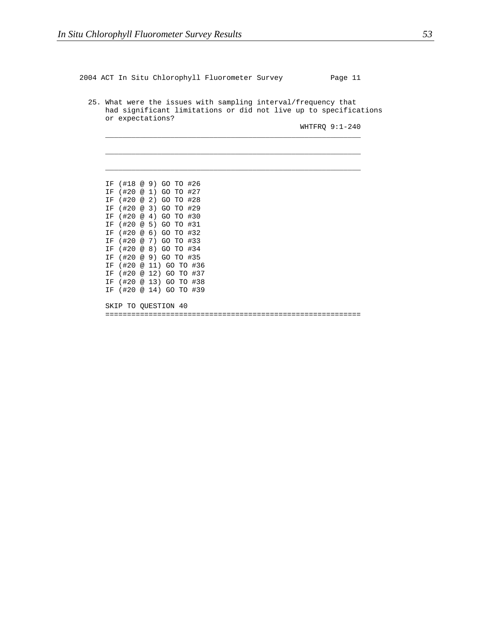2004 ACT In Situ Chlorophyll Fluorometer Survey Page 11

25. What were the issues with sampling interval/frequency that had significant limitations or did not live up to specifications or expectations?

\_\_\_\_\_\_\_\_\_\_\_\_\_\_\_\_\_\_\_\_\_\_\_\_\_\_\_\_\_\_\_\_\_\_\_\_\_\_\_\_\_\_\_\_\_\_\_\_\_\_\_\_\_\_\_\_\_\_\_

\_\_\_\_\_\_\_\_\_\_\_\_\_\_\_\_\_\_\_\_\_\_\_\_\_\_\_\_\_\_\_\_\_\_\_\_\_\_\_\_\_\_\_\_\_\_\_\_\_\_\_\_\_\_\_\_\_\_\_

\_\_\_\_\_\_\_\_\_\_\_\_\_\_\_\_\_\_\_\_\_\_\_\_\_\_\_\_\_\_\_\_\_\_\_\_\_\_\_\_\_\_\_\_\_\_\_\_\_\_\_\_\_\_\_\_\_\_\_

WHTFRQ 9:1-240

IF (#18 @ 9) GO TO #26 IF (#20 @ 1) GO TO #27 IF (#20 @ 2) GO TO #28 IF (#20 @ 3) GO TO #29 IF (#20 @ 4) GO TO #30 IF (#20 @ 5) GO TO #31 IF (#20 @ 6) GO TO #32 IF (#20 @ 7) GO TO #33 IF (#20 @ 8) GO TO #34 IF (#20 @ 9) GO TO #35 IF (#20 @ 11) GO TO #36 IF (#20 @ 12) GO TO #37 IF (#20 @ 13) GO TO #38 IF (#20 @ 14) GO TO #39

SKIP TO QUESTION 40

===========================================================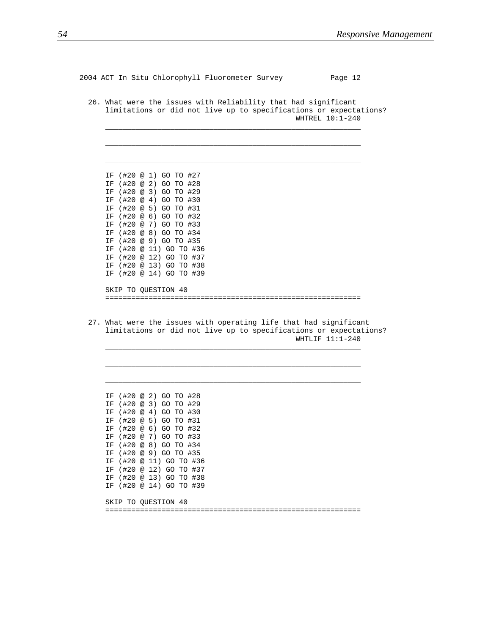2004 ACT In Situ Chlorophyll Fluorometer Survey Page 12 26. What were the issues with Reliability that had significant limitations or did not live up to specifications or expectations? WHTREL 10:1-240 \_\_\_\_\_\_\_\_\_\_\_\_\_\_\_\_\_\_\_\_\_\_\_\_\_\_\_\_\_\_\_\_\_\_\_\_\_\_\_\_\_\_\_\_\_\_\_\_\_\_\_\_\_\_\_\_\_\_\_ \_\_\_\_\_\_\_\_\_\_\_\_\_\_\_\_\_\_\_\_\_\_\_\_\_\_\_\_\_\_\_\_\_\_\_\_\_\_\_\_\_\_\_\_\_\_\_\_\_\_\_\_\_\_\_\_\_\_\_ \_\_\_\_\_\_\_\_\_\_\_\_\_\_\_\_\_\_\_\_\_\_\_\_\_\_\_\_\_\_\_\_\_\_\_\_\_\_\_\_\_\_\_\_\_\_\_\_\_\_\_\_\_\_\_\_\_\_\_ IF (#20 @ 1) GO TO #27 IF (#20 @ 2) GO TO #28 IF (#20 @ 3) GO TO #29 IF (#20 @ 4) GO TO #30 IF (#20 @ 5) GO TO #31 IF (#20 @ 6) GO TO #32 IF (#20 @ 7) GO TO #33 IF (#20 @ 8) GO TO #34 IF (#20 @ 9) GO TO #35 IF (#20 @ 11) GO TO #36 IF (#20 @ 12) GO TO #37 IF (#20 @ 13) GO TO #38 IF (#20 @ 14) GO TO #39 SKIP TO QUESTION 40 =========================================================== 27. What were the issues with operating life that had significant limitations or did not live up to specifications or expectations? WHTLIF 11:1-240 \_\_\_\_\_\_\_\_\_\_\_\_\_\_\_\_\_\_\_\_\_\_\_\_\_\_\_\_\_\_\_\_\_\_\_\_\_\_\_\_\_\_\_\_\_\_\_\_\_\_\_\_\_\_\_\_\_\_\_ \_\_\_\_\_\_\_\_\_\_\_\_\_\_\_\_\_\_\_\_\_\_\_\_\_\_\_\_\_\_\_\_\_\_\_\_\_\_\_\_\_\_\_\_\_\_\_\_\_\_\_\_\_\_\_\_\_\_\_ \_\_\_\_\_\_\_\_\_\_\_\_\_\_\_\_\_\_\_\_\_\_\_\_\_\_\_\_\_\_\_\_\_\_\_\_\_\_\_\_\_\_\_\_\_\_\_\_\_\_\_\_\_\_\_\_\_\_\_ IF (#20 @ 2) GO TO #28 IF (#20 @ 3) GO TO #29 IF (#20 @ 4) GO TO #30 IF (#20 @ 5) GO TO #31 IF (#20 @ 6) GO TO #32 IF (#20 @ 7) GO TO #33 IF (#20 @ 8) GO TO #34 IF (#20 @ 9) GO TO #35 IF (#20 @ 11) GO TO #36 IF (#20 @ 12) GO TO #37 IF (#20 @ 13) GO TO #38 IF (#20 @ 14) GO TO #39 SKIP TO QUESTION 40 ===========================================================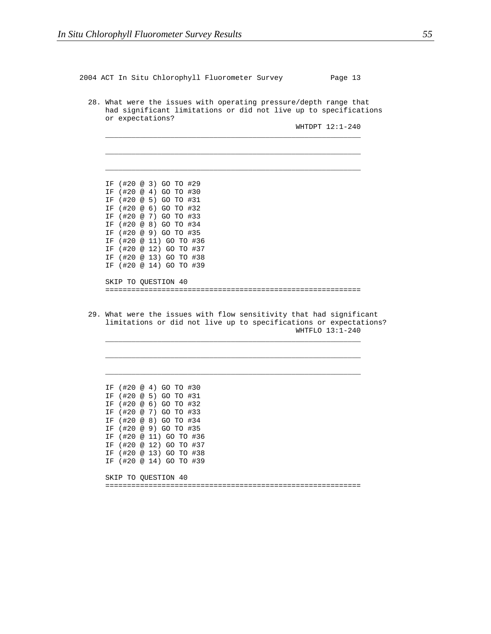2004 ACT In Situ Chlorophyll Fluorometer Survey Page 13 28. What were the issues with operating pressure/depth range that had significant limitations or did not live up to specifications or expectations? WHTDPT 12:1-240 \_\_\_\_\_\_\_\_\_\_\_\_\_\_\_\_\_\_\_\_\_\_\_\_\_\_\_\_\_\_\_\_\_\_\_\_\_\_\_\_\_\_\_\_\_\_\_\_\_\_\_\_\_\_\_\_\_\_\_ \_\_\_\_\_\_\_\_\_\_\_\_\_\_\_\_\_\_\_\_\_\_\_\_\_\_\_\_\_\_\_\_\_\_\_\_\_\_\_\_\_\_\_\_\_\_\_\_\_\_\_\_\_\_\_\_\_\_\_ \_\_\_\_\_\_\_\_\_\_\_\_\_\_\_\_\_\_\_\_\_\_\_\_\_\_\_\_\_\_\_\_\_\_\_\_\_\_\_\_\_\_\_\_\_\_\_\_\_\_\_\_\_\_\_\_\_\_\_ IF (#20 @ 3) GO TO #29 IF (#20 @ 4) GO TO #30 IF (#20 @ 5) GO TO #31 IF (#20 @ 6) GO TO #32 IF (#20 @ 7) GO TO #33 IF (#20 @ 8) GO TO #34 IF (#20 @ 9) GO TO #35 IF (#20 @ 11) GO TO #36 IF (#20 @ 12) GO TO #37 IF (#20 @ 13) GO TO #38 IF (#20 @ 14) GO TO #39 SKIP TO QUESTION 40 =========================================================== 29. What were the issues with flow sensitivity that had significant limitations or did not live up to specifications or expectations? WHTFLO 13:1-240 \_\_\_\_\_\_\_\_\_\_\_\_\_\_\_\_\_\_\_\_\_\_\_\_\_\_\_\_\_\_\_\_\_\_\_\_\_\_\_\_\_\_\_\_\_\_\_\_\_\_\_\_\_\_\_\_\_\_\_ \_\_\_\_\_\_\_\_\_\_\_\_\_\_\_\_\_\_\_\_\_\_\_\_\_\_\_\_\_\_\_\_\_\_\_\_\_\_\_\_\_\_\_\_\_\_\_\_\_\_\_\_\_\_\_\_\_\_\_ \_\_\_\_\_\_\_\_\_\_\_\_\_\_\_\_\_\_\_\_\_\_\_\_\_\_\_\_\_\_\_\_\_\_\_\_\_\_\_\_\_\_\_\_\_\_\_\_\_\_\_\_\_\_\_\_\_\_\_ IF (#20 @ 4) GO TO #30 IF (#20 @ 5) GO TO #31 IF (#20 @ 6) GO TO #32 IF (#20 @ 7) GO TO #33 IF (#20 @ 8) GO TO #34 IF (#20 @ 9) GO TO #35 IF (#20 @ 11) GO TO #36 IF (#20 @ 12) GO TO #37

IF (#20 @ 13) GO TO #38 IF (#20 @ 14) GO TO #39 SKIP TO QUESTION 40 ===========================================================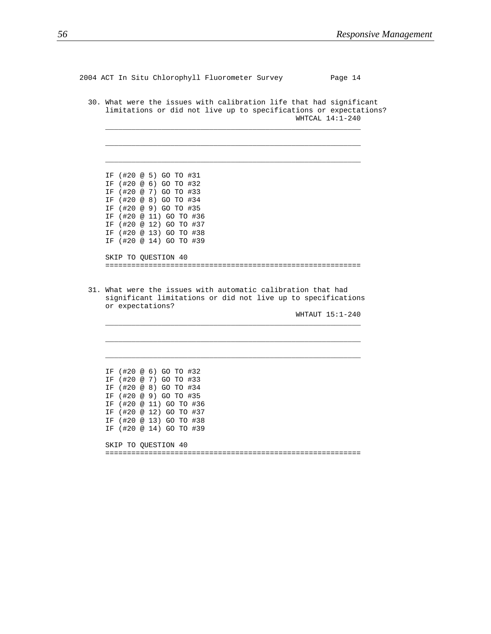2004 ACT In Situ Chlorophyll Fluorometer Survey Page 14

30. What were the issues with calibration life that had significant limitations or did not live up to specifications or expectations? WHTCAL 14:1-240

\_\_\_\_\_\_\_\_\_\_\_\_\_\_\_\_\_\_\_\_\_\_\_\_\_\_\_\_\_\_\_\_\_\_\_\_\_\_\_\_\_\_\_\_\_\_\_\_\_\_\_\_\_\_\_\_\_\_\_

\_\_\_\_\_\_\_\_\_\_\_\_\_\_\_\_\_\_\_\_\_\_\_\_\_\_\_\_\_\_\_\_\_\_\_\_\_\_\_\_\_\_\_\_\_\_\_\_\_\_\_\_\_\_\_\_\_\_\_

\_\_\_\_\_\_\_\_\_\_\_\_\_\_\_\_\_\_\_\_\_\_\_\_\_\_\_\_\_\_\_\_\_\_\_\_\_\_\_\_\_\_\_\_\_\_\_\_\_\_\_\_\_\_\_\_\_\_\_

IF (#20 @ 11) GO TO #36 IF (#20 @ 12) GO TO #37 IF (#20 @ 13) GO TO #38 IF (#20 @ 14) GO TO #39 SKIP TO QUESTION 40 ===========================================================

31. What were the issues with automatic calibration that had significant limitations or did not live up to specifications or expectations?

\_\_\_\_\_\_\_\_\_\_\_\_\_\_\_\_\_\_\_\_\_\_\_\_\_\_\_\_\_\_\_\_\_\_\_\_\_\_\_\_\_\_\_\_\_\_\_\_\_\_\_\_\_\_\_\_\_\_\_

\_\_\_\_\_\_\_\_\_\_\_\_\_\_\_\_\_\_\_\_\_\_\_\_\_\_\_\_\_\_\_\_\_\_\_\_\_\_\_\_\_\_\_\_\_\_\_\_\_\_\_\_\_\_\_\_\_\_\_

\_\_\_\_\_\_\_\_\_\_\_\_\_\_\_\_\_\_\_\_\_\_\_\_\_\_\_\_\_\_\_\_\_\_\_\_\_\_\_\_\_\_\_\_\_\_\_\_\_\_\_\_\_\_\_\_\_\_\_

WHTAUT 15:1-240

IF (#20 @ 6) GO TO #32 IF (#20 @ 7) GO TO #33 IF (#20 @ 8) GO TO #34 IF (#20 @ 9) GO TO #35 IF (#20 @ 11) GO TO #36 IF (#20 @ 12) GO TO #37 IF (#20 @ 13) GO TO #38 IF (#20 @ 14) GO TO #39

IF (#20 @ 5) GO TO #31 IF (#20 @ 6) GO TO #32 IF (#20 @ 7) GO TO #33 IF (#20 @ 8) GO TO #34 IF (#20 @ 9) GO TO #35

SKIP TO QUESTION 40 ===========================================================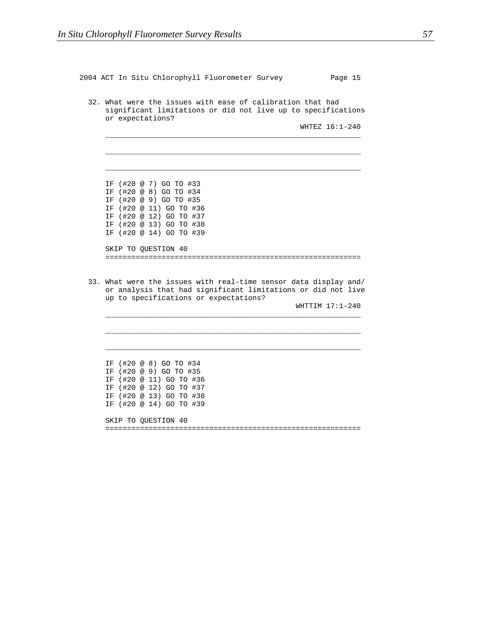2004 ACT In Situ Chlorophyll Fluorometer Survey Page 15 32. What were the issues with ease of calibration that had significant limitations or did not live up to specifications or expectations? WHTEZ 16:1-240 \_\_\_\_\_\_\_\_\_\_\_\_\_\_\_\_\_\_\_\_\_\_\_\_\_\_\_\_\_\_\_\_\_\_\_\_\_\_\_\_\_\_\_\_\_\_\_\_\_\_\_\_\_\_\_\_\_\_\_ \_\_\_\_\_\_\_\_\_\_\_\_\_\_\_\_\_\_\_\_\_\_\_\_\_\_\_\_\_\_\_\_\_\_\_\_\_\_\_\_\_\_\_\_\_\_\_\_\_\_\_\_\_\_\_\_\_\_\_ \_\_\_\_\_\_\_\_\_\_\_\_\_\_\_\_\_\_\_\_\_\_\_\_\_\_\_\_\_\_\_\_\_\_\_\_\_\_\_\_\_\_\_\_\_\_\_\_\_\_\_\_\_\_\_\_\_\_\_ IF (#20 @ 7) GO TO #33 IF (#20 @ 8) GO TO #34 IF (#20 @ 9) GO TO #35 IF (#20 @ 11) GO TO #36 IF (#20 @ 12) GO TO #37 IF (#20 @ 13) GO TO #38 IF (#20 @ 14) GO TO #39 SKIP TO QUESTION 40 =========================================================== 33. What were the issues with real-time sensor data display and/ or analysis that had significant limitations or did not live up to specifications or expectations? WHTTIM 17:1-240 \_\_\_\_\_\_\_\_\_\_\_\_\_\_\_\_\_\_\_\_\_\_\_\_\_\_\_\_\_\_\_\_\_\_\_\_\_\_\_\_\_\_\_\_\_\_\_\_\_\_\_\_\_\_\_\_\_\_\_ \_\_\_\_\_\_\_\_\_\_\_\_\_\_\_\_\_\_\_\_\_\_\_\_\_\_\_\_\_\_\_\_\_\_\_\_\_\_\_\_\_\_\_\_\_\_\_\_\_\_\_\_\_\_\_\_\_\_\_ \_\_\_\_\_\_\_\_\_\_\_\_\_\_\_\_\_\_\_\_\_\_\_\_\_\_\_\_\_\_\_\_\_\_\_\_\_\_\_\_\_\_\_\_\_\_\_\_\_\_\_\_\_\_\_\_\_\_\_ IF (#20 @ 8) GO TO #34 IF (#20 @ 9) GO TO #35 IF (#20 @ 11) GO TO #36 IF (#20 @ 12) GO TO #37 IF (#20 @ 13) GO TO #38 IF (#20 @ 14) GO TO #39 SKIP TO QUESTION 40 ===========================================================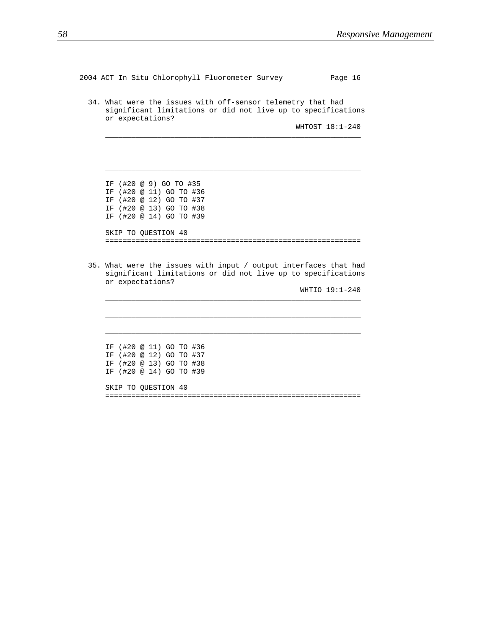```
2004 ACT In Situ Chlorophyll Fluorometer Survey Page 16
 34. What were the issues with off-sensor telemetry that had
    significant limitations or did not live up to specifications
    or expectations?
                                               WHTOST 18:1-240
     ___________________________________________________________
     ___________________________________________________________
     ___________________________________________________________
    IF (#20 @ 9) GO TO #35
    IF (#20 @ 11) GO TO #36
    IF (#20 @ 12) GO TO #37
    IF (#20 @ 13) GO TO #38
    IF (#20 @ 14) GO TO #39
    SKIP TO QUESTION 40
     ===========================================================
 35. What were the issues with input / output interfaces that had
    significant limitations or did not live up to specifications
    or expectations?
                                                 WHTIO 19:1-240
     ___________________________________________________________
     ___________________________________________________________
     ___________________________________________________________
    IF (#20 @ 11) GO TO #36
    IF (#20 @ 12) GO TO #37
    IF (#20 @ 13) GO TO #38
    IF (#20 @ 14) GO TO #39
```
SKIP TO QUESTION 40 ===========================================================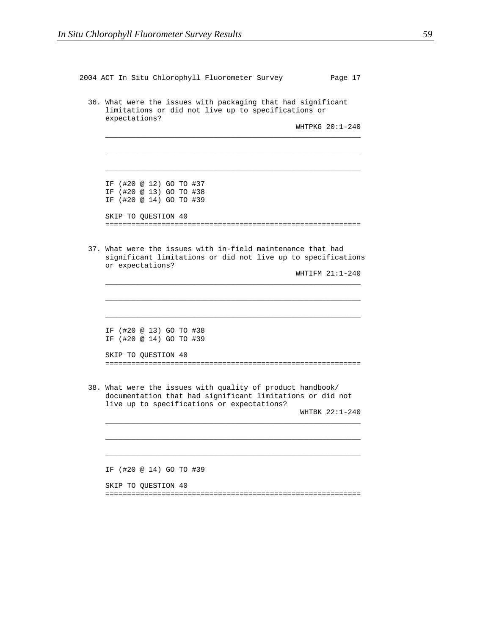| 36. What were the issues with packaging that had significant<br>limitations or did not live up to specifications or<br>expectations?                                                    |
|-----------------------------------------------------------------------------------------------------------------------------------------------------------------------------------------|
| WHTPKG 20:1-240                                                                                                                                                                         |
|                                                                                                                                                                                         |
| IF (#20 @ 12) GO TO #37<br>IF (#20 @ 13) GO TO #38<br>IF (#20 @ 14) GO TO #39                                                                                                           |
| SKIP TO QUESTION 40                                                                                                                                                                     |
| 37. What were the issues with in-field maintenance that had<br>significant limitations or did not live up to specifications<br>or expectations?<br>WHTIFM 21:1-240                      |
|                                                                                                                                                                                         |
|                                                                                                                                                                                         |
|                                                                                                                                                                                         |
| IF (#20 @ 13) GO TO #38<br>IF (#20 @ 14) GO TO #39                                                                                                                                      |
| SKIP TO QUESTION 40                                                                                                                                                                     |
| 38. What were the issues with quality of product handbook/<br>documentation that had significant limitations or did not<br>live up to specifications or expectations?<br>WHTBK 22:1-240 |
|                                                                                                                                                                                         |
| IF (#20 @ 14) GO TO #39                                                                                                                                                                 |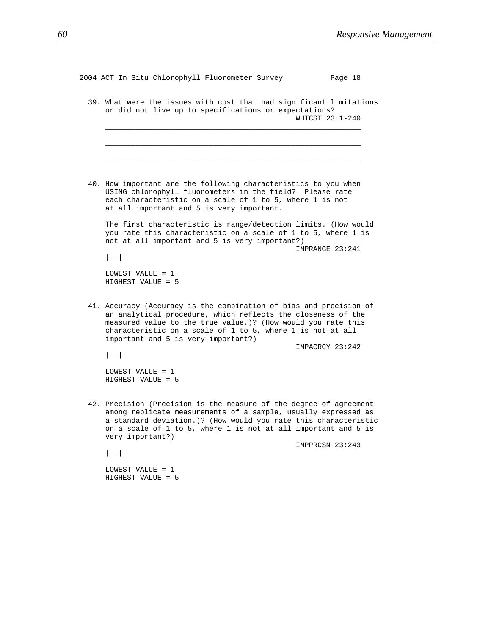| 2004 ACT In Situ Chlorophyll Fluorometer Survey                                                                                                                                                                                                                                                                       | Page 18         |
|-----------------------------------------------------------------------------------------------------------------------------------------------------------------------------------------------------------------------------------------------------------------------------------------------------------------------|-----------------|
| 39. What were the issues with cost that had significant limitations<br>or did not live up to specifications or expectations?                                                                                                                                                                                          | WHTCST 23:1-240 |
|                                                                                                                                                                                                                                                                                                                       |                 |
| 40. How important are the following characteristics to you when<br>USING chlorophyll fluorometers in the field? Please rate<br>each characteristic on a scale of 1 to 5, where 1 is not<br>at all important and 5 is very important.                                                                                  |                 |
| The first characteristic is range/detection limits. (How would<br>you rate this characteristic on a scale of 1 to 5, where 1 is<br>not at all important and 5 is very important?)<br>$\vert \_$                                                                                                                       | IMPRANGE 23:241 |
| LOWEST VALUE = 1<br>HIGHEST VALUE = 5                                                                                                                                                                                                                                                                                 |                 |
| 41. Accuracy (Accuracy is the combination of bias and precision of<br>an analytical procedure, which reflects the closeness of the<br>measured value to the true value.)? (How would you rate this<br>characteristic on a scale of 1 to 5, where 1 is not at all<br>important and 5 is very important?)<br>$\vert \_$ | IMPACRCY 23:242 |
| LOWEST VALUE = 1<br>HIGHEST VALUE = 5                                                                                                                                                                                                                                                                                 |                 |
| 42. Precision (Precision is the measure of the degree of agreement<br>among replicate measurements of a sample, usually expressed as<br>a standard deviation.)? (How would you rate this characteristic<br>on a scale of 1 to 5, where 1 is not at all important and 5 is<br>very important?)                         |                 |
|                                                                                                                                                                                                                                                                                                                       | IMPPRCSN 23:243 |
| LOWEST VALUE = 1<br>HIGHEST VALUE = 5                                                                                                                                                                                                                                                                                 |                 |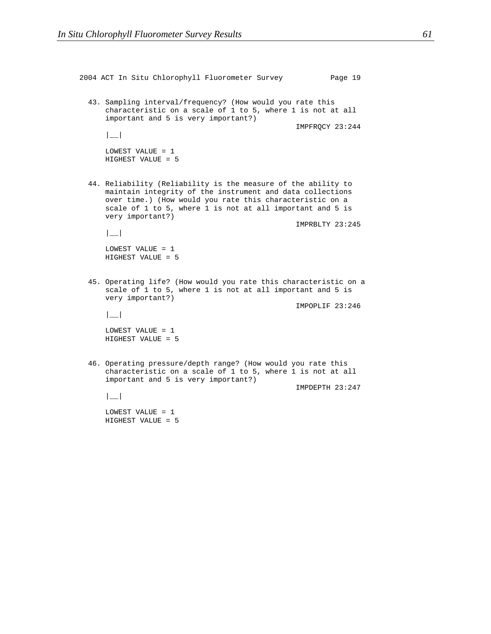2004 ACT In Situ Chlorophyll Fluorometer Survey Page 19 43. Sampling interval/frequency? (How would you rate this characteristic on a scale of 1 to 5, where 1 is not at all important and 5 is very important?) IMPFRQCY 23:244 |\_\_| LOWEST VALUE = 1 HIGHEST VALUE = 5 44. Reliability (Reliability is the measure of the ability to maintain integrity of the instrument and data collections over time.) (How would you rate this characteristic on a scale of 1 to 5, where 1 is not at all important and 5 is very important?) IMPRBLTY 23:245 |\_\_| LOWEST VALUE = 1 HIGHEST VALUE = 5 45. Operating life? (How would you rate this characteristic on a scale of 1 to 5, where 1 is not at all important and 5 is very important?) IMPOPLIF 23:246 |\_\_| LOWEST VALUE = 1 HIGHEST VALUE = 5 46. Operating pressure/depth range? (How would you rate this characteristic on a scale of 1 to 5, where 1 is not at all important and 5 is very important?) IMPDEPTH 23:247  $|$ LOWEST VALUE = 1 HIGHEST VALUE = 5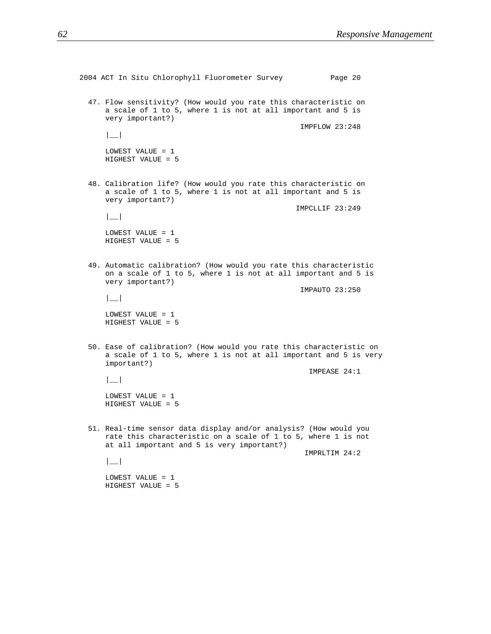```
2004 ACT In Situ Chlorophyll Fluorometer Survey Page 20
 47. Flow sensitivity? (How would you rate this characteristic on
    a scale of 1 to 5, where 1 is not at all important and 5 is
    very important?)
                                                 IMPFLOW 23:248
    |__|
    LOWEST VALUE = 1
    HIGHEST VALUE = 5
 48. Calibration life? (How would you rate this characteristic on
    a scale of 1 to 5, where 1 is not at all important and 5 is
    very important?)
                                                IMPCLLIF 23:249
    |__|
    LOWEST VALUE = 1
    HIGHEST VALUE = 5
 49. Automatic calibration? (How would you rate this characteristic
    on a scale of 1 to 5, where 1 is not at all important and 5 is
    very important?)
                                                 IMPAUTO 23:250
    |LOWEST VALUE = 1
    HIGHEST VALUE = 5
 50. Ease of calibration? (How would you rate this characteristic on
    a scale of 1 to 5, where 1 is not at all important and 5 is very
    important?)
                                                   IMPEASE 24:1
    |__|
    LOWEST VALUE = 1
    HIGHEST VALUE = 5
 51. Real-time sensor data display and/or analysis? (How would you
    rate this characteristic on a scale of 1 to 5, where 1 is not
    at all important and 5 is very important?)
                                                  IMPRLTIM 24:2
    |LOWEST VALUE = 1
    HIGHEST VALUE = 5
```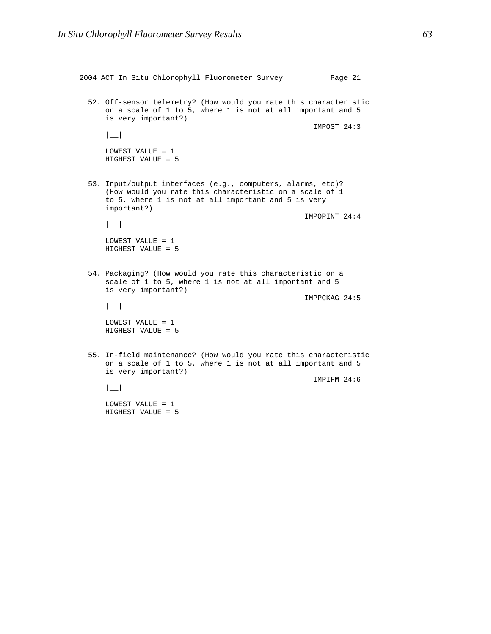```
2004 ACT In Situ Chlorophyll Fluorometer Survey Page 21
52. Off-sensor telemetry? (How would you rate this characteristic
    on a scale of 1 to 5, where 1 is not at all important and 5
    is very important?)
                                                    IMPOST 24:3
    |__|
    LOWEST VALUE = 1
    HIGHEST VALUE = 5
 53. Input/output interfaces (e.g., computers, alarms, etc)?
    (How would you rate this characteristic on a scale of 1
    to 5, where 1 is not at all important and 5 is very
    important?)
                                                  IMPOPINT 24:4
    |__|
    LOWEST VALUE = 1
    HIGHEST VALUE = 5
 54. Packaging? (How would you rate this characteristic on a
    scale of 1 to 5, where 1 is not at all important and 5
    is very important?)
                                                  IMPPCKAG 24:5
    |LOWEST VALUE = 1
    HIGHEST VALUE = 5
 55. In-field maintenance? (How would you rate this characteristic
    on a scale of 1 to 5, where 1 is not at all important and 5
    is very important?)
                                                    IMPIFM 24:6
    |__|
    LOWEST VALUE = 1
    HIGHEST VALUE = 5
```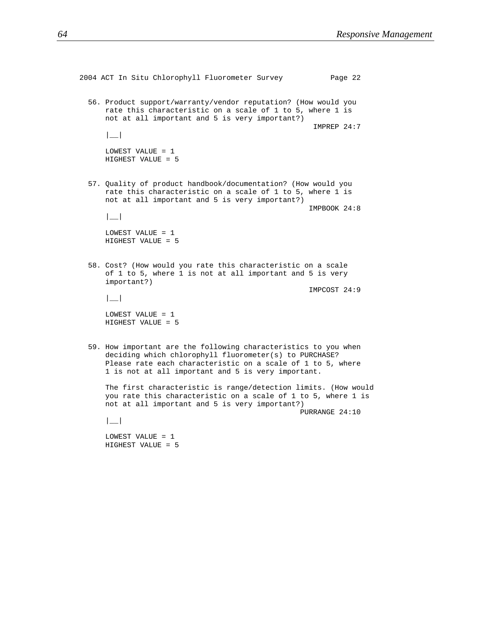```
2004 ACT In Situ Chlorophyll Fluorometer Survey Page 22
 56. Product support/warranty/vendor reputation? (How would you
    rate this characteristic on a scale of 1 to 5, where 1 is
    not at all important and 5 is very important?)
                                                    IMPREP 24:7
    |__|
    LOWEST VALUE = 1
    HIGHEST VALUE = 5
 57. Quality of product handbook/documentation? (How would you
    rate this characteristic on a scale of 1 to 5, where 1 is
    not at all important and 5 is very important?)
                                                   IMPBOOK 24:8
    |__|
    LOWEST VALUE = 1
    HIGHEST VALUE = 5
 58. Cost? (How would you rate this characteristic on a scale
    of 1 to 5, where 1 is not at all important and 5 is very
    important?)
                                                   IMPCOST 24:9
    |LOWEST VALUE = 1
    HIGHEST VALUE = 5
 59. How important are the following characteristics to you when
    deciding which chlorophyll fluorometer(s) to PURCHASE?
    Please rate each characteristic on a scale of 1 to 5, where
    1 is not at all important and 5 is very important.
    The first characteristic is range/detection limits. (How would
    you rate this characteristic on a scale of 1 to 5, where 1 is
    not at all important and 5 is very important?)
                                                 PURRANGE 24:10
    |__|
    LOWEST VALUE = 1
    HIGHEST VALUE = 5
```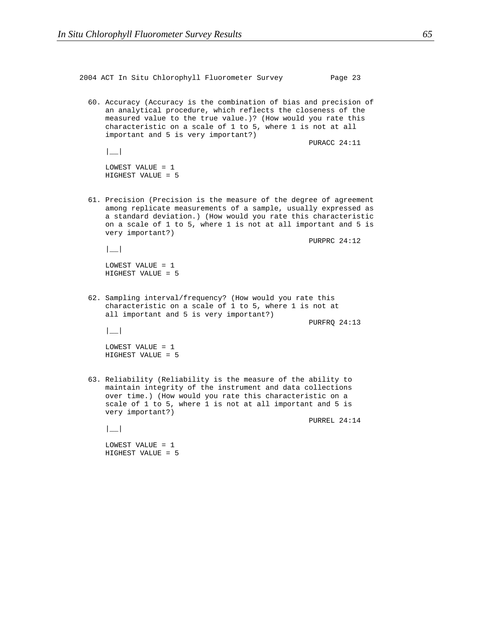2004 ACT In Situ Chlorophyll Fluorometer Survey Page 23 60. Accuracy (Accuracy is the combination of bias and precision of an analytical procedure, which reflects the closeness of the measured value to the true value.)? (How would you rate this characteristic on a scale of 1 to 5, where 1 is not at all important and 5 is very important?) PURACC 24:11  $|$ LOWEST VALUE = 1 HIGHEST VALUE = 5 61. Precision (Precision is the measure of the degree of agreement among replicate measurements of a sample, usually expressed as a standard deviation.) (How would you rate this characteristic on a scale of 1 to 5, where 1 is not at all important and 5 is very important?) PURPRC 24:12 |\_\_| LOWEST VALUE = 1 HIGHEST VALUE = 5 62. Sampling interval/frequency? (How would you rate this characteristic on a scale of 1 to 5, where 1 is not at all important and 5 is very important?) PURFRQ 24:13 |\_\_| LOWEST VALUE = 1 HIGHEST VALUE = 5 63. Reliability (Reliability is the measure of the ability to maintain integrity of the instrument and data collections over time.) (How would you rate this characteristic on a scale of 1 to 5, where 1 is not at all important and 5 is very important?) PURREL 24:14 |\_\_| LOWEST VALUE = 1 HIGHEST VALUE = 5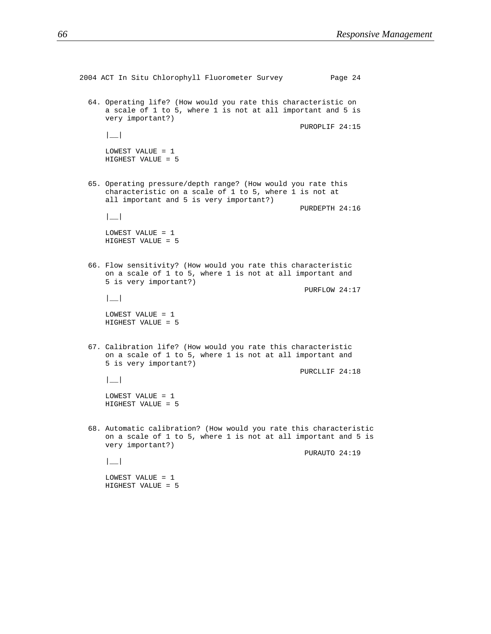```
2004 ACT In Situ Chlorophyll Fluorometer Survey Page 24
 64. Operating life? (How would you rate this characteristic on
    a scale of 1 to 5, where 1 is not at all important and 5 is
    very important?)
                                                 PUROPLIF 24:15
    |__|
    LOWEST VALUE = 1
    HIGHEST VALUE = 5
 65. Operating pressure/depth range? (How would you rate this
    characteristic on a scale of 1 to 5, where 1 is not at
    all important and 5 is very important?)
                                                 PURDEPTH 24:16
    |__|
    LOWEST VALUE = 1
    HIGHEST VALUE = 5
 66. Flow sensitivity? (How would you rate this characteristic
    on a scale of 1 to 5, where 1 is not at all important and
    5 is very important?)
                                                  PURFLOW 24:17
    |__|
    LOWEST VALUE = 1
    HIGHEST VALUE = 5
 67. Calibration life? (How would you rate this characteristic
    on a scale of 1 to 5, where 1 is not at all important and
    5 is very important?)
                                                 PURCLLIF 24:18
    |__|
    LOWEST VALUE = 1
    HIGHEST VALUE = 5
 68. Automatic calibration? (How would you rate this characteristic
    on a scale of 1 to 5, where 1 is not at all important and 5 is
    very important?)
                                                  PURAUTO 24:19
    |LOWEST VALUE = 1
    HIGHEST VALUE = 5
```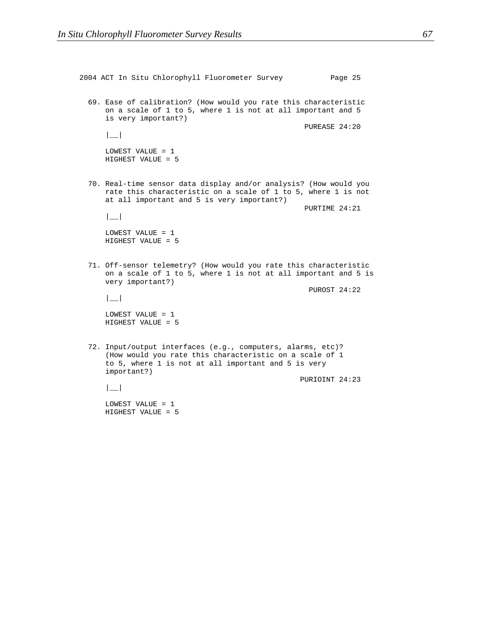```
2004 ACT In Situ Chlorophyll Fluorometer Survey Page 25
69. Ease of calibration? (How would you rate this characteristic
    on a scale of 1 to 5, where 1 is not at all important and 5
    is very important?)
                                                  PUREASE 24:20
    |__|
    LOWEST VALUE = 1
    HIGHEST VALUE = 5
 70. Real-time sensor data display and/or analysis? (How would you
    rate this characteristic on a scale of 1 to 5, where 1 is not
    at all important and 5 is very important?)
                                                  PURTIME 24:21
    |__|
    LOWEST VALUE = 1
    HIGHEST VALUE = 5
 71. Off-sensor telemetry? (How would you rate this characteristic
    on a scale of 1 to 5, where 1 is not at all important and 5 is
    very important?)
                                                   PUROST 24:22
    |LOWEST VALUE = 1
    HIGHEST VALUE = 5
 72. Input/output interfaces (e.g., computers, alarms, etc)?
     (How would you rate this characteristic on a scale of 1
    to 5, where 1 is not at all important and 5 is very
    important?)
                                                 PURIOINT 24:23
    |__|
    LOWEST VALUE = 1
    HIGHEST VALUE = 5
```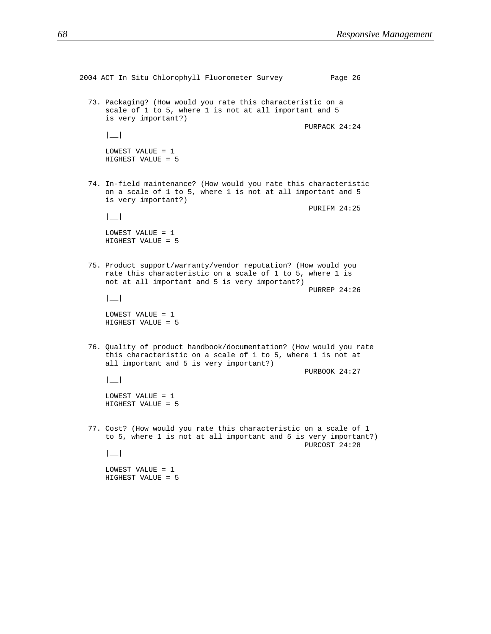```
2004 ACT In Situ Chlorophyll Fluorometer Survey Page 26
73. Packaging? (How would you rate this characteristic on a
    scale of 1 to 5, where 1 is not at all important and 5
    is very important?)
                                                  PURPACK 24:24
    |__|
    LOWEST VALUE = 1
    HIGHEST VALUE = 5
 74. In-field maintenance? (How would you rate this characteristic
    on a scale of 1 to 5, where 1 is not at all important and 5
    is very important?)
                                                   PURIFM 24:25
    |__|
    LOWEST VALUE = 1
    HIGHEST VALUE = 5
 75. Product support/warranty/vendor reputation? (How would you
    rate this characteristic on a scale of 1 to 5, where 1 is
    not at all important and 5 is very important?)
                                                   PURREP 24:26
    |LOWEST VALUE = 1
    HIGHEST VALUE = 5
 76. Quality of product handbook/documentation? (How would you rate
    this characteristic on a scale of 1 to 5, where 1 is not at
    all important and 5 is very important?)
                                                  PURBOOK 24:27
    |__|
    LOWEST VALUE = 1
    HIGHEST VALUE = 5
77. Cost? (How would you rate this characteristic on a scale of 1
    to 5, where 1 is not at all important and 5 is very important?)
                                                  PURCOST 24:28
    |__|
    LOWEST VALUE = 1
    HIGHEST VALUE = 5
```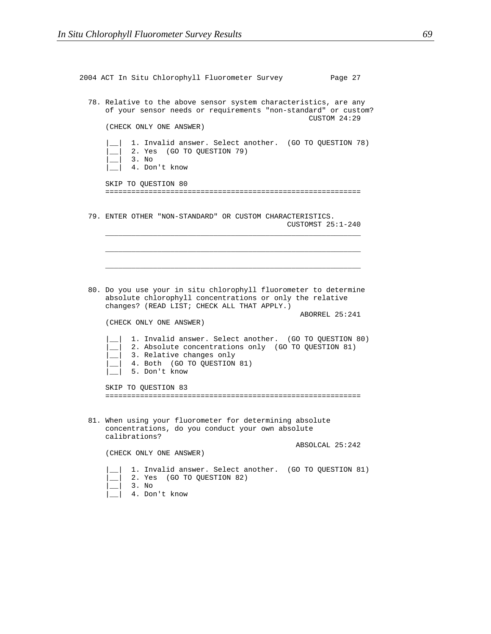| 2004 ACT In Situ Chlorophyll Fluorometer Survey                                                                                                                                           | Page 27           |
|-------------------------------------------------------------------------------------------------------------------------------------------------------------------------------------------|-------------------|
| 78. Relative to the above sensor system characteristics, are any<br>of your sensor needs or requirements "non-standard" or custom?                                                        | CUSTOM 24:29      |
| (CHECK ONLY ONE ANSWER)                                                                                                                                                                   |                   |
| 1. Invalid answer. Select another. (GO TO QUESTION 78)<br>2. Yes (GO TO QUESTION 79)<br>3. No<br>4. Don't know                                                                            |                   |
| SKIP TO QUESTION 80                                                                                                                                                                       |                   |
|                                                                                                                                                                                           |                   |
| 79. ENTER OTHER "NON-STANDARD" OR CUSTOM CHARACTERISTICS.                                                                                                                                 | CUSTOMST 25:1-240 |
|                                                                                                                                                                                           |                   |
|                                                                                                                                                                                           |                   |
|                                                                                                                                                                                           |                   |
| 80. Do you use your in situ chlorophyll fluorometer to determine<br>absolute chlorophyll concentrations or only the relative<br>changes? (READ LIST; CHECK ALL THAT APPLY.)               |                   |
| (CHECK ONLY ONE ANSWER)                                                                                                                                                                   | ABORREL 25:241    |
| 1. Invalid answer. Select another. (GO TO QUESTION 80)<br>2. Absolute concentrations only (GO TO QUESTION 81)<br>3. Relative changes only<br>4. Both (GO TO QUESTION 81)<br>5. Don't know |                   |
| SKIP TO QUESTION 83                                                                                                                                                                       |                   |
|                                                                                                                                                                                           |                   |
| 81. When using your fluorometer for determining absolute<br>concentrations, do you conduct your own absolute<br>calibrations?                                                             |                   |
|                                                                                                                                                                                           | ABSOLCAL 25:242   |
| (CHECK ONLY ONE ANSWER)                                                                                                                                                                   |                   |
| 1. Invalid answer. Select another. (GO TO QUESTION 81)<br>(GO TO QUESTION 82)<br>2. Yes<br>3. No<br>4. Don't know                                                                         |                   |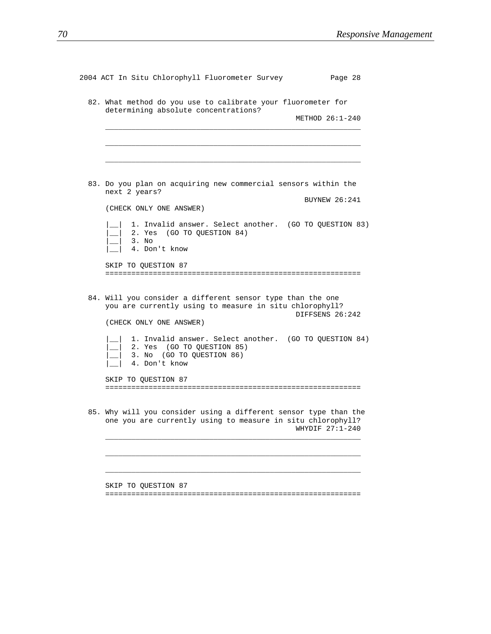| 2004 ACT In Situ Chlorophyll Fluorometer Survey<br>Page 28                                                                                         |  |
|----------------------------------------------------------------------------------------------------------------------------------------------------|--|
| 82. What method do you use to calibrate your fluorometer for<br>determining absolute concentrations?                                               |  |
| METHOD $26:1-240$                                                                                                                                  |  |
|                                                                                                                                                    |  |
|                                                                                                                                                    |  |
| 83. Do you plan on acquiring new commercial sensors within the<br>next 2 years?                                                                    |  |
| <b>BUYNEW 26:241</b><br>(CHECK ONLY ONE ANSWER)                                                                                                    |  |
| 1. Invalid answer. Select another. (GO TO QUESTION 83)<br>2. Yes (GO TO QUESTION 84)<br>3. No<br>4. Don't know                                     |  |
| SKIP TO QUESTION 87                                                                                                                                |  |
| 84. Will you consider a different sensor type than the one<br>you are currently using to measure in situ chlorophyll?<br>DIFFSENS 26:242           |  |
| (CHECK ONLY ONE ANSWER)                                                                                                                            |  |
| 1. Invalid answer. Select another. (GO TO QUESTION 84)<br>2. Yes (GO TO QUESTION 85)<br>3. No (GO TO QUESTION 86)<br>4. Don't know                 |  |
| SKIP TO OUESTION 87                                                                                                                                |  |
|                                                                                                                                                    |  |
| 85. Why will you consider using a different sensor type than the<br>one you are currently using to measure in situ chlorophyll?<br>WHYDIF 27:1-240 |  |
|                                                                                                                                                    |  |
|                                                                                                                                                    |  |
| SKIP TO QUESTION 87                                                                                                                                |  |

===========================================================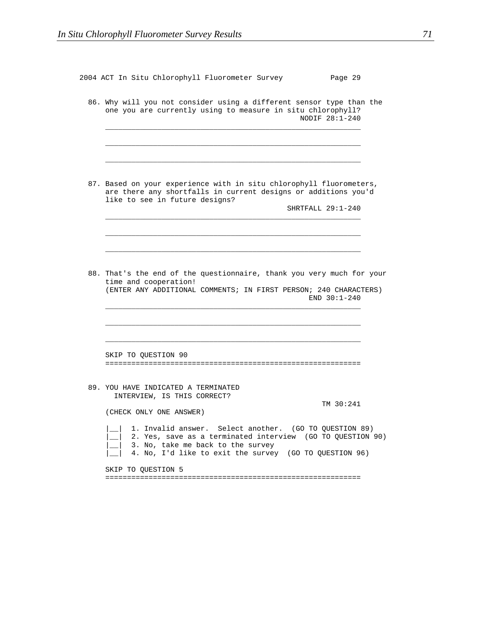| 2004 ACT In Situ Chlorophyll Fluorometer Survey<br>Page 29                                                                                                                                                          |  |
|---------------------------------------------------------------------------------------------------------------------------------------------------------------------------------------------------------------------|--|
| 86. Why will you not consider using a different sensor type than the<br>one you are currently using to measure in situ chlorophyll?<br>NODIF 28:1-240                                                               |  |
| 87. Based on your experience with in situ chlorophyll fluorometers,<br>are there any shortfalls in current designs or additions you'd<br>like to see in future designs?<br>SHRTFALL 29:1-240                        |  |
| 88. That's the end of the questionnaire, thank you very much for your                                                                                                                                               |  |
| time and cooperation!<br>(ENTER ANY ADDITIONAL COMMENTS; IN FIRST PERSON; 240 CHARACTERS)<br>END $30:1-240$                                                                                                         |  |
| SKIP TO QUESTION 90                                                                                                                                                                                                 |  |
| 89. YOU HAVE INDICATED A TERMINATED<br>INTERVIEW, IS THIS CORRECT?<br>TM 30:241<br>(CHECK ONLY ONE ANSWER)                                                                                                          |  |
| 1. Invalid answer. Select another. (GO TO QUESTION 89)<br>2. Yes, save as a terminated interview (GO TO QUESTION 90)<br>3. No, take me back to the survey<br>4. No, I'd like to exit the survey (GO TO QUESTION 96) |  |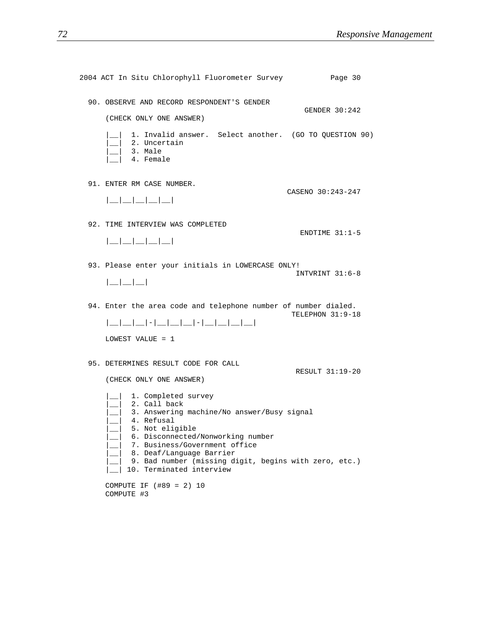| 2004 ACT In Situ Chlorophyll Fluorometer Survey                                                                                                                                                                                                                                                                                                                                    | Page 30           |
|------------------------------------------------------------------------------------------------------------------------------------------------------------------------------------------------------------------------------------------------------------------------------------------------------------------------------------------------------------------------------------|-------------------|
| 90. OBSERVE AND RECORD RESPONDENT'S GENDER<br>(CHECK ONLY ONE ANSWER)                                                                                                                                                                                                                                                                                                              | GENDER 30:242     |
| 1. Invalid answer. Select another. (GO TO QUESTION 90)<br>_  2. Uncertain<br>$-$ 3. Male<br>4. Female                                                                                                                                                                                                                                                                              |                   |
| 91. ENTER RM CASE NUMBER.<br>$  \_   \_   \_   \_   \_   \_  $                                                                                                                                                                                                                                                                                                                     | CASENO 30:243-247 |
| 92. TIME INTERVIEW WAS COMPLETED<br>$  \_   \_   \_   \_   \_   \_  $                                                                                                                                                                                                                                                                                                              | ENDTIME $31:1-5$  |
| 93. Please enter your initials in LOWERCASE ONLY!<br>$ $ $  $ $  $ $  $                                                                                                                                                                                                                                                                                                            | INTVRINT 31:6-8   |
| 94. Enter the area code and telephone number of number dialed.<br>LOWEST VALUE = 1                                                                                                                                                                                                                                                                                                 | TELEPHON 31:9-18  |
| 95. DETERMINES RESULT CODE FOR CALL<br>(CHECK ONLY ONE ANSWER)                                                                                                                                                                                                                                                                                                                     | RESULT 31:19-20   |
| 1. Completed survey<br>$\begin{array}{c c} 2. & \text{Call back} \end{array}$<br>__  3. Answering machine/No answer/Busy signal<br>4. Refusal<br>5. Not eligible<br>6. Disconnected/Nonworking number<br>7. Business/Government office<br>8. Deaf/Language Barrier<br>9. Bad number (missing digit, begins with zero, etc.)<br>10. Terminated interview<br>COMPUTE IF (#89 = 2) 10 |                   |
| COMPUTE #3                                                                                                                                                                                                                                                                                                                                                                         |                   |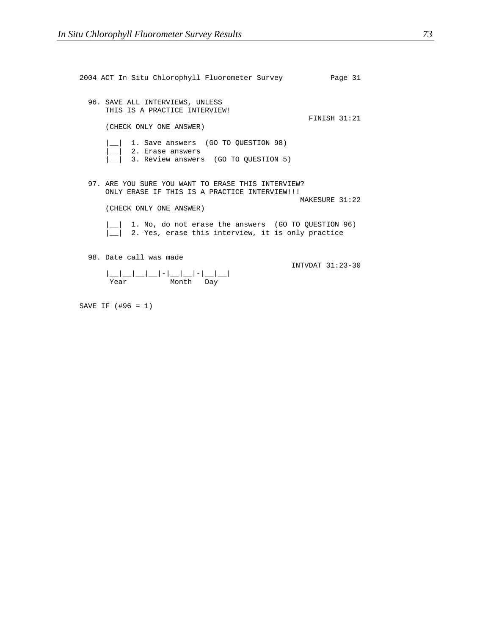| 2004 ACT In Situ Chlorophyll Fluorometer Survey<br>Page 31                                                                                                                                                                                                                                                               |  |
|--------------------------------------------------------------------------------------------------------------------------------------------------------------------------------------------------------------------------------------------------------------------------------------------------------------------------|--|
| 96. SAVE ALL INTERVIEWS, UNLESS<br>THIS IS A PRACTICE INTERVIEW!<br><b>FINISH 31:21</b><br>(CHECK ONLY ONE ANSWER)                                                                                                                                                                                                       |  |
| 1. Save answers (GO TO OUESTION 98)<br> _  2. Erase answers<br>3. Review answers (GO TO OUESTION 5)                                                                                                                                                                                                                      |  |
| 97. ARE YOU SURE YOU WANT TO ERASE THIS INTERVIEW?<br>ONLY ERASE IF THIS IS A PRACTICE INTERVIEW!!!<br>MAKESURE 31:22<br>(CHECK ONLY ONE ANSWER)                                                                                                                                                                         |  |
| 1. No, do not erase the answers (GO TO QUESTION 96)<br>2. Yes, erase this interview, it is only practice                                                                                                                                                                                                                 |  |
| 98. Date call was made<br>TNTVDAT 31:23-30<br>__ __ __ _ - __ _ - __ __ <br>Year and the state of the state of the state of the state of the state of the state of the state of the state of the state of the state of the state of the state of the state of the state of the state of the state of the st<br>Month Day |  |

SAVE IF (#96 = 1)